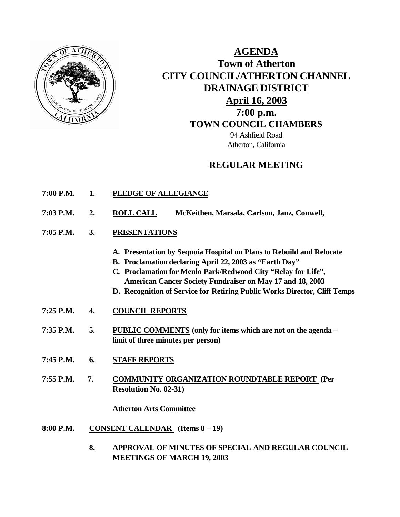

## **AGENDA Town of Atherton CITY COUNCIL/ATHERTON CHANNEL DRAINAGE DISTRICT April 16, 2003 7:00 p.m. TOWN COUNCIL CHAMBERS** 94 Ashfield Road Atherton, California

## **REGULAR MEETING**

- **7:00 P.M. 1. PLEDGE OF ALLEGIANCE**
- **7:03 P.M. 2. ROLL CALL McKeithen, Marsala, Carlson, Janz, Conwell,**
- **7:05 P.M. 3. PRESENTATIONS** 
	- **A. Presentation by Sequoia Hospital on Plans to Rebuild and Relocate**
	- **B. Proclamation declaring April 22, 2003 as "Earth Day"**
	- **C. Proclamation for Menlo Park/Redwood City "Relay for Life", American Cancer Society Fundraiser on May 17 and 18, 2003**
	- **D. Recognition of Service for Retiring Public Works Director, Cliff Temps**
- **7:25 P.M. 4. COUNCIL REPORTS**
- **7:35 P.M. 5. PUBLIC COMMENTS (only for items which are not on the agenda – limit of three minutes per person)**
- **7:45 P.M. 6. STAFF REPORTS**
- **7:55 P.M. 7. COMMUNITY ORGANIZATION ROUNDTABLE REPORT (Per Resolution No. 02-31)**

**Atherton Arts Committee**

- **8:00 P.M. CONSENT CALENDAR (Items 8 – 19)**
	- **8. APPROVAL OF MINUTES OF SPECIAL AND REGULAR COUNCIL MEETINGS OF MARCH 19, 2003**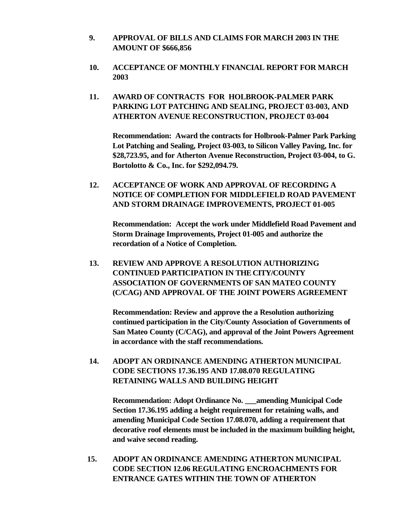- **9. APPROVAL OF BILLS AND CLAIMS FOR MARCH 2003 IN THE AMOUNT OF \$666,856**
- **10. ACCEPTANCE OF MONTHLY FINANCIAL REPORT FOR MARCH 2003**
- **11. AWARD OF CONTRACTS FOR HOLBROOK-PALMER PARK PARKING LOT PATCHING AND SEALING, PROJECT 03-003, AND ATHERTON AVENUE RECONSTRUCTION, PROJECT 03-004**

**Recommendation: Award the contracts for Holbrook-Palmer Park Parking Lot Patching and Sealing, Project 03-003, to Silicon Valley Paving, Inc. for \$28,723.95, and for Atherton Avenue Reconstruction, Project 03-004, to G. Bortolotto & Co., Inc. for \$292,094.79.**

**12. ACCEPTANCE OF WORK AND APPROVAL OF RECORDING A NOTICE OF COMPLETION FOR MIDDLEFIELD ROAD PAVEMENT AND STORM DRAINAGE IMPROVEMENTS, PROJECT 01-005**

**Recommendation: Accept the work under Middlefield Road Pavement and Storm Drainage Improvements, Project 01-005 and authorize the recordation of a Notice of Completion.**

**13. REVIEW AND APPROVE A RESOLUTION AUTHORIZING CONTINUED PARTICIPATION IN THE CITY/COUNTY ASSOCIATION OF GOVERNMENTS OF SAN MATEO COUNTY (C/CAG) AND APPROVAL OF THE JOINT POWERS AGREEMENT**

**Recommendation: Review and approve the a Resolution authorizing continued participation in the City/County Association of Governments of San Mateo County (C/CAG), and approval of the Joint Powers Agreement in accordance with the staff recommendations.**

**14. ADOPT AN ORDINANCE AMENDING ATHERTON MUNICIPAL CODE SECTIONS 17.36.195 AND 17.08.070 REGULATING RETAINING WALLS AND BUILDING HEIGHT** 

**Recommendation: Adopt Ordinance No. \_\_\_amending Municipal Code Section 17.36.195 adding a height requirement for retaining walls, and amending Municipal Code Section 17.08.070, adding a requirement that decorative roof elements must be included in the maximum building height, and waive second reading.**

 **15. ADOPT AN ORDINANCE AMENDING ATHERTON MUNICIPAL CODE SECTION 12.06 REGULATING ENCROACHMENTS FOR ENTRANCE GATES WITHIN THE TOWN OF ATHERTON**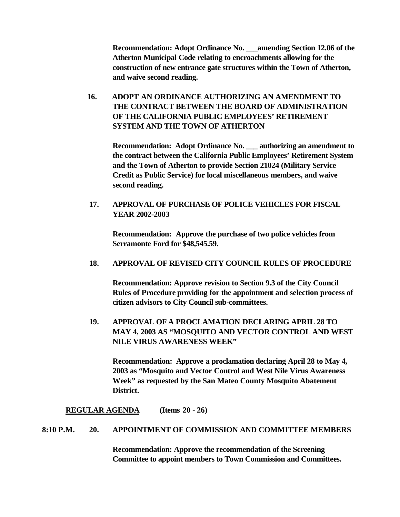**Recommendation: Adopt Ordinance No. \_\_\_amending Section 12.06 of the Atherton Municipal Code relating to encroachments allowing for the construction of new entrance gate structures within the Town of Atherton, and waive second reading.**

 **16. ADOPT AN ORDINANCE AUTHORIZING AN AMENDMENT TO THE CONTRACT BETWEEN THE BOARD OF ADMINISTRATION OF THE CALIFORNIA PUBLIC EMPLOYEES' RETIREMENT SYSTEM AND THE TOWN OF ATHERTON** 

**Recommendation: Adopt Ordinance No. \_\_\_ authorizing an amendment to the contract between the California Public Employees' Retirement System and the Town of Atherton to provide Section 21024 (Military Service Credit as Public Service) for local miscellaneous members, and waive second reading.**

**17. APPROVAL OF PURCHASE OF POLICE VEHICLES FOR FISCAL YEAR 2002-2003**

**Recommendation: Approve the purchase of two police vehicles from Serramonte Ford for \$48,545.59.**

#### **18. APPROVAL OF REVISED CITY COUNCIL RULES OF PROCEDURE**

**Recommendation: Approve revision to Section 9.3 of the City Council Rules of Procedure providing for the appointment and selection process of citizen advisors to City Council sub-committees.** 

**19. APPROVAL OF A PROCLAMATION DECLARING APRIL 28 TO MAY 4, 2003 AS "MOSQUITO AND VECTOR CONTROL AND WEST NILE VIRUS AWARENESS WEEK"**

**Recommendation: Approve a proclamation declaring April 28 to May 4, 2003 as "Mosquito and Vector Control and West Nile Virus Awareness Week" as requested by the San Mateo County Mosquito Abatement District.**

#### **REGULAR AGENDA (Items 20 - 26)**

#### **8:10 P.M. 20. APPOINTMENT OF COMMISSION AND COMMITTEE MEMBERS**

**Recommendation: Approve the recommendation of the Screening Committee to appoint members to Town Commission and Committees.**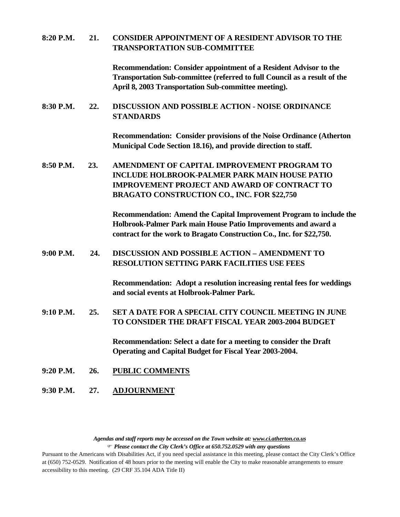#### **8:20 P.M. 21. CONSIDER APPOINTMENT OF A RESIDENT ADVISOR TO THE TRANSPORTATION SUB-COMMITTEE**

**Recommendation: Consider appointment of a Resident Advisor to the Transportation Sub-committee (referred to full Council as a result of the April 8, 2003 Transportation Sub-committee meeting).**

#### **8:30 P.M. 22. DISCUSSION AND POSSIBLE ACTION - NOISE ORDINANCE STANDARDS**

**Recommendation: Consider provisions of the Noise Ordinance (Atherton Municipal Code Section 18.16), and provide direction to staff.**

**8:50 P.M. 23. AMENDMENT OF CAPITAL IMPROVEMENT PROGRAM TO INCLUDE HOLBROOK-PALMER PARK MAIN HOUSE PATIO IMPROVEMENT PROJECT AND AWARD OF CONTRACT TO BRAGATO CONSTRUCTION CO., INC. FOR \$22,750**

> **Recommendation: Amend the Capital Improvement Program to include the Holbrook-Palmer Park main House Patio Improvements and award a contract for the work to Bragato Construction Co., Inc. for \$22,750.**

#### **9:00 P.M. 24. DISCUSSION AND POSSIBLE ACTION – AMENDMENT TO RESOLUTION SETTING PARK FACILITIES USE FEES**

**Recommendation: Adopt a resolution increasing rental fees for weddings and social events at Holbrook-Palmer Park.**

**9:10 P.M. 25. SET A DATE FOR A SPECIAL CITY COUNCIL MEETING IN JUNE TO CONSIDER THE DRAFT FISCAL YEAR 2003-2004 BUDGET**

> **Recommendation: Select a date for a meeting to consider the Draft Operating and Capital Budget for Fiscal Year 2003-2004.**

- **9:20 P.M. 26. PUBLIC COMMENTS**
- **9:30 P.M. 27. ADJOURNMENT**

*Agendas and staff reports may be accessed on the Town website at: www.ci.atherton.ca.us* F *Please contact the City Clerk's Office at 650.752.0529 with any questions*

Pursuant to the Americans with Disabilities Act, if you need special assistance in this meeting, please contact the City Clerk's Office at (650) 752-0529. Notification of 48 hours prior to the meeting will enable the City to make reasonable arrangements to ensure accessibility to this meeting. (29 CRF 35.104 ADA Title II)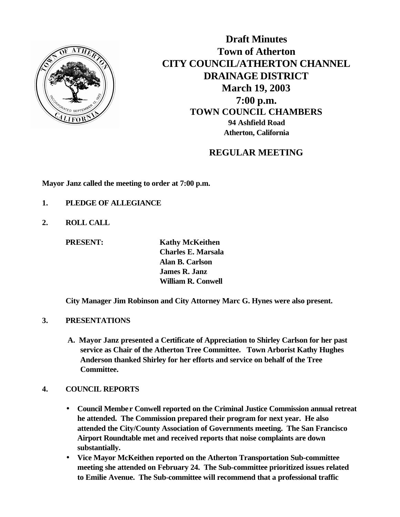

**Draft Minutes Town of Atherton CITY COUNCIL/ATHERTON CHANNEL DRAINAGE DISTRICT March 19, 2003 7:00 p.m. TOWN COUNCIL CHAMBERS 94 Ashfield Road Atherton, California**

## **REGULAR MEETING**

**Mayor Janz called the meeting to order at 7:00 p.m.**

- **1. PLEDGE OF ALLEGIANCE**
- **2. ROLL CALL**

**PRESENT:** Kathy McKeithen **Charles E. Marsala Alan B. Carlson James R. Janz William R. Conwell**

**City Manager Jim Robinson and City Attorney Marc G. Hynes were also present.**

#### **3. PRESENTATIONS**

 **A. Mayor Janz presented a Certificate of Appreciation to Shirley Carlson for her past service as Chair of the Atherton Tree Committee. Town Arborist Kathy Hughes Anderson thanked Shirley for her efforts and service on behalf of the Tree Committee.**

#### **4. COUNCIL REPORTS**

- **Council Member Conwell reported on the Criminal Justice Commission annual retreat he attended. The Commission prepared their program for next year. He also attended the City/County Association of Governments meeting. The San Francisco Airport Roundtable met and received reports that noise complaints are down substantially.**
- **Vice Mayor McKeithen reported on the Atherton Transportation Sub-committee meeting she attended on February 24. The Sub-committee prioritized issues related to Emilie Avenue. The Sub-committee will recommend that a professional traffic**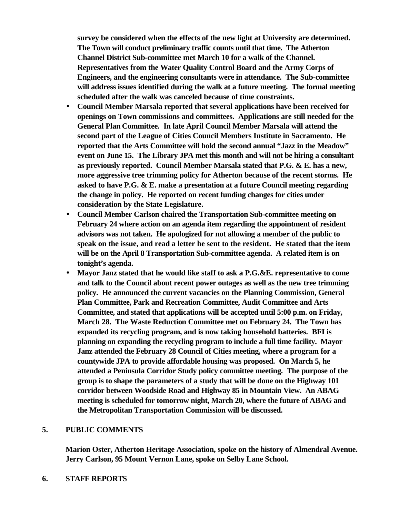**survey be considered when the effects of the new light at University are determined. The Town will conduct preliminary traffic counts until that time. The Atherton Channel District Sub-committee met March 10 for a walk of the Channel. Representatives from the Water Quality Control Board and the Army Corps of Engineers, and the engineering consultants were in attendance. The Sub-committee will address issues identified during the walk at a future meeting. The formal meeting scheduled after the walk was canceled because of time constraints.**

- **Council Member Marsala reported that several applications have been received for openings on Town commissions and committees. Applications are still needed for the General Plan Committee. In late April Council Member Marsala will attend the second part of the League of Cities Council Members Institute in Sacramento. He reported that the Arts Committee will hold the second annual "Jazz in the Meadow" event on June 15. The Library JPA met this month and will not be hiring a consultant as previously reported. Council Member Marsala stated that P.G. & E. has a new, more aggressive tree trimming policy for Atherton because of the recent storms. He asked to have P.G. & E. make a presentation at a future Council meeting regarding the change in policy. He reported on recent funding changes for cities under consideration by the State Legislature.**
- **Council Member Carlson chaired the Transportation Sub-committee meeting on February 24 where action on an agenda item regarding the appointment of resident advisors was not taken. He apologized for not allowing a member of the public to speak on the issue, and read a letter he sent to the resident. He stated that the item will be on the April 8 Transportation Sub-committee agenda. A related item is on tonight's agenda.**
- **Mayor Janz stated that he would like staff to ask a P.G.&E. representative to come and talk to the Council about recent power outages as well as the new tree trimming policy. He announced the current vacancies on the Planning Commission, General Plan Committee, Park and Recreation Committee, Audit Committee and Arts Committee, and stated that applications will be accepted until 5:00 p.m. on Friday, March 28. The Waste Reduction Committee met on February 24. The Town has expanded its recycling program, and is now taking household batteries. BFI is planning on expanding the recycling program to include a full time facility. Mayor Janz attended the February 28 Council of Cities meeting, where a program for a countywide JPA to provide affordable housing was proposed. On March 5, he attended a Peninsula Corridor Study policy committee meeting. The purpose of the group is to shape the parameters of a study that will be done on the Highway 101 corridor between Woodside Road and Highway 85 in Mountain View. An ABAG meeting is scheduled for tomorrow night, March 20, where the future of ABAG and the Metropolitan Transportation Commission will be discussed.**

#### **5. PUBLIC COMMENTS**

**Marion Oster, Atherton Heritage Association, spoke on the history of Almendral Avenue. Jerry Carlson, 95 Mount Vernon Lane, spoke on Selby Lane School.**

#### **6. STAFF REPORTS**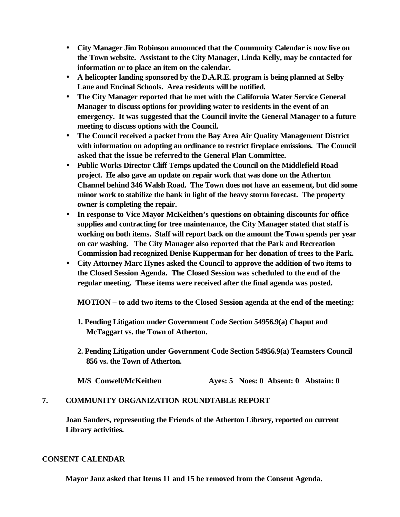- **City Manager Jim Robinson announced that the Community Calendar is now live on the Town website. Assistant to the City Manager, Linda Kelly, may be contacted for information or to place an item on the calendar.**
- **A helicopter landing sponsored by the D.A.R.E. program is being planned at Selby Lane and Encinal Schools. Area residents will be notified.**
- **The City Manager reported that he met with the California Water Service General Manager to discuss options for providing water to residents in the event of an emergency. It was suggested that the Council invite the General Manager to a future meeting to discuss options with the Council.**
- **The Council received a packet from the Bay Area Air Quality Management District with information on adopting an ordinance to restrict fireplace emissions. The Council asked that the issue be referred to the General Plan Committee.**
- **Public Works Director Cliff Temps updated the Council on the Middlefield Road project. He also gave an update on repair work that was done on the Atherton Channel behind 346 Walsh Road. The Town does not have an easement, but did some minor work to stabilize the bank in light of the heavy storm forecast. The property owner is completing the repair.**
- **In response to Vice Mayor McKeithen's questions on obtaining discounts for office supplies and contracting for tree maintenance, the City Manager stated that staff is working on both items. Staff will report back on the amount the Town spends per year on car washing. The City Manager also reported that the Park and Recreation Commission had recognized Denise Kupperman for her donation of trees to the Park.**
- **City Attorney Marc Hynes asked the Council to approve the addition of two items to the Closed Session Agenda. The Closed Session was scheduled to the end of the regular meeting. These items were received after the final agenda was posted.**

**MOTION – to add two items to the Closed Session agenda at the end of the meeting:**

- **1. Pending Litigation under Government Code Section 54956.9(a) Chaput and McTaggart vs. the Town of Atherton.**
- **2. Pending Litigation under Government Code Section 54956.9(a) Teamsters Council 856 vs. the Town of Atherton.**

|  | M/S Conwell/McKeithen |  |  | Ayes: 5 Noes: 0 Absent: 0 Abstain: 0 |  |  |
|--|-----------------------|--|--|--------------------------------------|--|--|
|--|-----------------------|--|--|--------------------------------------|--|--|

### **7. COMMUNITY ORGANIZATION ROUNDTABLE REPORT**

**Joan Sanders, representing the Friends of the Atherton Library, reported on current Library activities.**

#### **CONSENT CALENDAR**

**Mayor Janz asked that Items 11 and 15 be removed from the Consent Agenda.**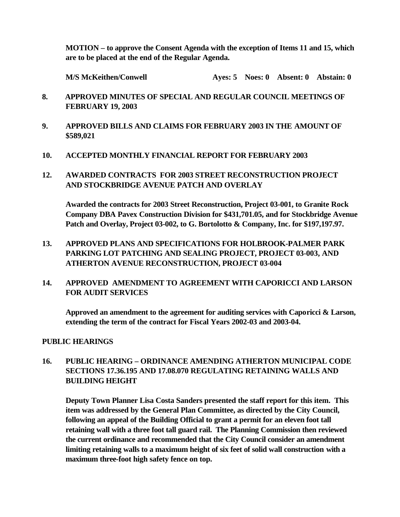**MOTION – to approve the Consent Agenda with the exception of Items 11 and 15, which are to be placed at the end of the Regular Agenda.**

**M/S McKeithen/Conwell Ayes: 5 Noes: 0 Absent: 0 Abstain: 0**

- **8. APPROVED MINUTES OF SPECIAL AND REGULAR COUNCIL MEETINGS OF FEBRUARY 19, 2003**
- **9. APPROVED BILLS AND CLAIMS FOR FEBRUARY 2003 IN THE AMOUNT OF \$589,021**
- **10. ACCEPTED MONTHLY FINANCIAL REPORT FOR FEBRUARY 2003**
- **12. AWARDED CONTRACTS FOR 2003 STREET RECONSTRUCTION PROJECT AND STOCKBRIDGE AVENUE PATCH AND OVERLAY**

**Awarded the contracts for 2003 Street Reconstruction, Project 03-001, to Granite Rock Company DBA Pavex Construction Division for \$431,701.05, and for Stockbridge Avenue Patch and Overlay, Project 03-002, to G. Bortolotto & Company, Inc. for \$197,197.97.**

**13. APPROVED PLANS AND SPECIFICATIONS FOR HOLBROOK-PALMER PARK PARKING LOT PATCHING AND SEALING PROJECT, PROJECT 03-003, AND ATHERTON AVENUE RECONSTRUCTION, PROJECT 03-004**

## **14. APPROVED AMENDMENT TO AGREEMENT WITH CAPORICCI AND LARSON FOR AUDIT SERVICES**

**Approved an amendment to the agreement for auditing services with Caporicci & Larson, extending the term of the contract for Fiscal Years 2002-03 and 2003-04.**

### **PUBLIC HEARINGS**

## **16. PUBLIC HEARING – ORDINANCE AMENDING ATHERTON MUNICIPAL CODE SECTIONS 17.36.195 AND 17.08.070 REGULATING RETAINING WALLS AND BUILDING HEIGHT**

**Deputy Town Planner Lisa Costa Sanders presented the staff report for this item. This item was addressed by the General Plan Committee, as directed by the City Council, following an appeal of the Building Official to grant a permit for an eleven foot tall retaining wall with a three foot tall guard rail. The Planning Commission then reviewed the current ordinance and recommended that the City Council consider an amendment limiting retaining walls to a maximum height of six feet of solid wall construction with a maximum three-foot high safety fence on top.**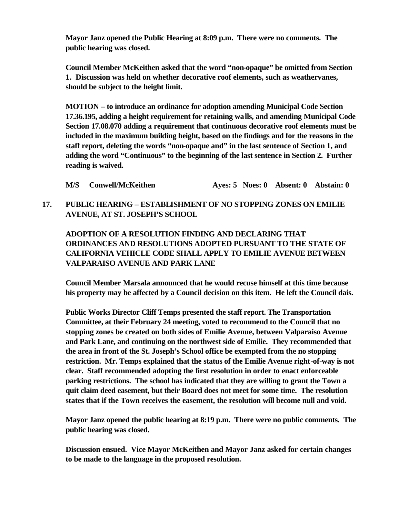**Mayor Janz opened the Public Hearing at 8:09 p.m. There were no comments. The public hearing was closed.** 

**Council Member McKeithen asked that the word "non-opaque" be omitted from Section 1. Discussion was held on whether decorative roof elements, such as weathervanes, should be subject to the height limit.**

**MOTION – to introduce an ordinance for adoption amending Municipal Code Section 17.36.195, adding a height requirement for retaining walls, and amending Municipal Code Section 17.08.070 adding a requirement that continuous decorative roof elements must be included in the maximum building height, based on the findings and for the reasons in the staff report, deleting the words "non-opaque and" in the last sentence of Section 1, and adding the word "Continuous" to the beginning of the last sentence in Section 2. Further reading is waived.**

**M/S Conwell/McKeithen Ayes: 5 Noes: 0 Absent: 0 Abstain: 0**

## **17. PUBLIC HEARING – ESTABLISHMENT OF NO STOPPING ZONES ON EMILIE AVENUE, AT ST. JOSEPH'S SCHOOL**

**ADOPTION OF A RESOLUTION FINDING AND DECLARING THAT ORDINANCES AND RESOLUTIONS ADOPTED PURSUANT TO THE STATE OF CALIFORNIA VEHICLE CODE SHALL APPLY TO EMILIE AVENUE BETWEEN VALPARAISO AVENUE AND PARK LANE**

**Council Member Marsala announced that he would recuse himself at this time because his property may be affected by a Council decision on this item. He left the Council dais.** 

**Public Works Director Cliff Temps presented the staff report. The Transportation Committee, at their February 24 meeting, voted to recommend to the Council that no stopping zones be created on both sides of Emilie Avenue, between Valparaiso Avenue and Park Lane, and continuing on the northwest side of Emilie. They recommended that the area in front of the St. Joseph's School office be exempted from the no stopping restriction. Mr. Temps explained that the status of the Emilie Avenue right-of-way is not clear. Staff recommended adopting the first resolution in order to enact enforceable parking restrictions. The school has indicated that they are willing to grant the Town a quit claim deed easement, but their Board does not meet for some time. The resolution states that if the Town receives the easement, the resolution will become null and void.** 

**Mayor Janz opened the public hearing at 8:19 p.m. There were no public comments. The public hearing was closed.**

**Discussion ensued. Vice Mayor McKeithen and Mayor Janz asked for certain changes to be made to the language in the proposed resolution.**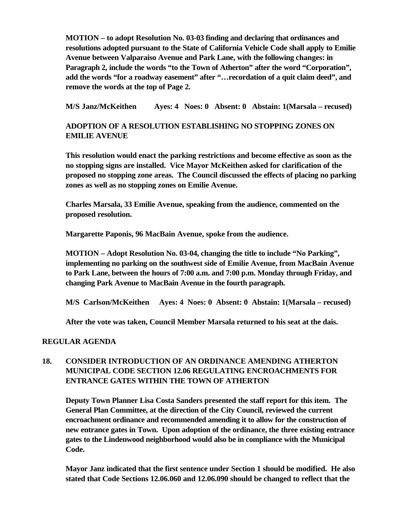**MOTION – to adopt Resolution No. 03-03 finding and declaring that ordinances and resolutions adopted pursuant to the State of California Vehicle Code shall apply to Emilie Avenue between Valparaiso Avenue and Park Lane, with the following changes: in Paragraph 2, include the words "to the Town of Atherton" after the word "Corporation", add the words "for a roadway easement" after "…recordation of a quit claim deed", and remove the words at the top of Page 2.**

**M/S Janz/McKeithen Ayes: 4 Noes: 0 Absent: 0 Abstain: 1(Marsala – recused)**

## **ADOPTION OF A RESOLUTION ESTABLISHING NO STOPPING ZONES ON EMILIE AVENUE**

**This resolution would enact the parking restrictions and become effective as soon as the no stopping signs are installed. Vice Mayor McKeithen asked for clarification of the proposed no stopping zone areas. The Council discussed the effects of placing no parking zones as well as no stopping zones on Emilie Avenue.** 

**Charles Marsala, 33 Emilie Avenue, speaking from the audience, commented on the proposed resolution.** 

**Margarette Paponis, 96 MacBain Avenue, spoke from the audience.**

**MOTION – Adopt Resolution No. 03-04, changing the title to include "No Parking", implementing no parking on the southwest side of Emilie Avenue, from MacBain Avenue to Park Lane, between the hours of 7:00 a.m. and 7:00 p.m. Monday through Friday, and changing Park Avenue to MacBain Avenue in the fourth paragraph.**

**M/S Carlson/McKeithen Ayes: 4 Noes: 0 Absent: 0 Abstain: 1(Marsala – recused)**

**After the vote was taken, Council Member Marsala returned to his seat at the dais.**

### **REGULAR AGENDA**

## **18. CONSIDER INTRODUCTION OF AN ORDINANCE AMENDING ATHERTON MUNICIPAL CODE SECTION 12.06 REGULATING ENCROACHMENTS FOR ENTRANCE GATES WITHIN THE TOWN OF ATHERTON**

**Deputy Town Planner Lisa Costa Sanders presented the staff report for this item. The General Plan Committee, at the direction of the City Council, reviewed the current encroachment ordinance and recommended amending it to allow for the construction of new entrance gates in Town. Upon adoption of the ordinance, the three existing entrance gates to the Lindenwood neighborhood would also be in compliance with the Municipal Code.** 

**Mayor Janz indicated that the first sentence under Section 1 should be modified. He also stated that Code Sections 12.06.060 and 12.06.090 should be changed to reflect that the**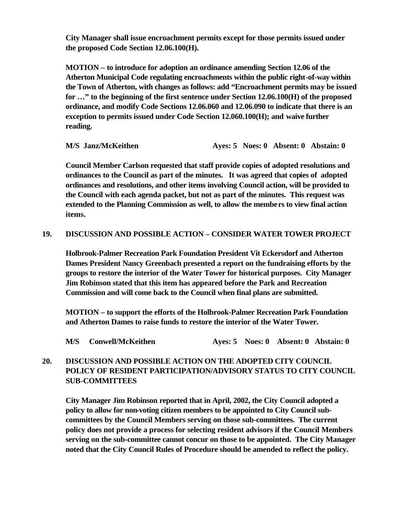**City Manager shall issue encroachment permits except for those permits issued under the proposed Code Section 12.06.100(H).** 

**MOTION – to introduce for adoption an ordinance amending Section 12.06 of the Atherton Municipal Code regulating encroachments within the public right-of-way within the Town of Atherton, with changes as follows: add "Encroachment permits may be issued for …" to the beginning of the first sentence under Section 12.06.100(H) of the proposed ordinance, and modify Code Sections 12.06.060 and 12.06.090 to indicate that there is an exception to permits issued under Code Section 12.060.100(H); and waive further reading.**

**M/S Janz/McKeithen Ayes: 5 Noes: 0 Absent: 0 Abstain: 0**

**Council Member Carlson requested that staff provide copies of adopted resolutions and ordinances to the Council as part of the minutes. It was agreed that copies of adopted ordinances and resolutions, and other items involving Council action, will be provided to the Council with each agenda packet, but not as part of the minutes. This request was extended to the Planning Commission as well, to allow the members to view final action items.**

#### **19. DISCUSSION AND POSSIBLE ACTION – CONSIDER WATER TOWER PROJECT**

**Holbrook-Palmer Recreation Park Foundation President Vit Eckersdorf and Atherton Dames President Nancy Greenbach presented a report on the fundraising efforts by the groups to restore the interior of the Water Tower for historical purposes. City Manager Jim Robinson stated that this item has appeared before the Park and Recreation Commission and will come back to the Council when final plans are submitted.** 

**MOTION – to support the efforts of the Holbrook-Palmer Recreation Park Foundation and Atherton Dames to raise funds to restore the interior of the Water Tower.**

|  | M/S Conwell/McKeithen |  |  |  | Ayes: 5 Noes: 0 Absent: 0 Abstain: 0 |
|--|-----------------------|--|--|--|--------------------------------------|
|--|-----------------------|--|--|--|--------------------------------------|

## **20. DISCUSSION AND POSSIBLE ACTION ON THE ADOPTED CITY COUNCIL POLICY OF RESIDENT PARTICIPATION/ADVISORY STATUS TO CITY COUNCIL SUB-COMMITTEES**

**City Manager Jim Robinson reported that in April, 2002, the City Council adopted a policy to allow for non-voting citizen members to be appointed to City Council subcommittees by the Council Members serving on those sub-committees. The current policy does not provide a process for selecting resident advisors if the Council Members serving on the sub-committee cannot concur on those to be appointed. The City Manager noted that the City Council Rules of Procedure should be amended to reflect the policy.**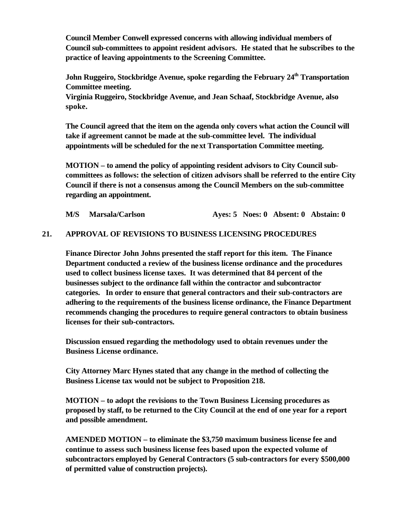**Council Member Conwell expressed concerns with allowing individual members of Council sub-committees to appoint resident advisors. He stated that he subscribes to the practice of leaving appointments to the Screening Committee.** 

**John Ruggeiro, Stockbridge Avenue, spoke regarding the February 24th Transportation Committee meeting.** 

**Virginia Ruggeiro, Stockbridge Avenue, and Jean Schaaf, Stockbridge Avenue, also spoke.**

**The Council agreed that the item on the agenda only covers what action the Council will take if agreement cannot be made at the sub-committee level. The individual appointments will be scheduled for the next Transportation Committee meeting.**

**MOTION – to amend the policy of appointing resident advisors to City Council subcommittees as follows: the selection of citizen advisors shall be referred to the entire City Council if there is not a consensus among the Council Members on the sub-committee regarding an appointment.**

**M/S Marsala/Carlson Ayes: 5 Noes: 0 Absent: 0 Abstain: 0**

#### **21. APPROVAL OF REVISIONS TO BUSINESS LICENSING PROCEDURES**

**Finance Director John Johns presented the staff report for this item. The Finance Department conducted a review of the business license ordinance and the procedures used to collect business license taxes. It was determined that 84 percent of the businesses subject to the ordinance fall within the contractor and subcontractor categories. In order to ensure that general contractors and their sub-contractors are adhering to the requirements of the business license ordinance, the Finance Department recommends changing the procedures to require general contractors to obtain business licenses for their sub-contractors.** 

**Discussion ensued regarding the methodology used to obtain revenues under the Business License ordinance.** 

**City Attorney Marc Hynes stated that any change in the method of collecting the Business License tax would not be subject to Proposition 218.** 

**MOTION – to adopt the revisions to the Town Business Licensing procedures as proposed by staff, to be returned to the City Council at the end of one year for a report and possible amendment.** 

**AMENDED MOTION – to eliminate the \$3,750 maximum business license fee and continue to assess such business license fees based upon the expected volume of subcontractors employed by General Contractors (5 sub-contractors for every \$500,000 of permitted value of construction projects).**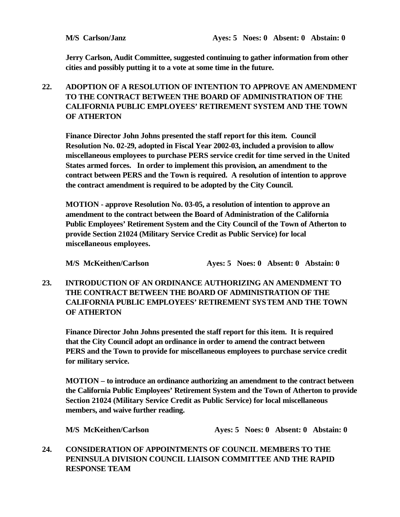**Jerry Carlson, Audit Committee, suggested continuing to gather information from other cities and possibly putting it to a vote at some time in the future.**

## **22. ADOPTION OF A RESOLUTION OF INTENTION TO APPROVE AN AMENDMENT TO THE CONTRACT BETWEEN THE BOARD OF ADMINISTRATION OF THE CALIFORNIA PUBLIC EMPLOYEES' RETIREMENT SYSTEM AND THE TOWN OF ATHERTON**

**Finance Director John Johns presented the staff report for this item. Council Resolution No. 02-29, adopted in Fiscal Year 2002-03, included a provision to allow miscellaneous employees to purchase PERS service credit for time served in the United States armed forces. In order to implement this provision, an amendment to the contract between PERS and the Town is required. A resolution of intention to approve the contract amendment is required to be adopted by the City Council.**

**MOTION - approve Resolution No. 03-05, a resolution of intention to approve an amendment to the contract between the Board of Administration of the California Public Employees' Retirement System and the City Council of the Town of Atherton to provide Section 21024 (Military Service Credit as Public Service) for local miscellaneous employees.**

**M/S McKeithen/Carlson Ayes: 5 Noes: 0 Absent: 0 Abstain: 0**

## **23. INTRODUCTION OF AN ORDINANCE AUTHORIZING AN AMENDMENT TO THE CONTRACT BETWEEN THE BOARD OF ADMINISTRATION OF THE CALIFORNIA PUBLIC EMPLOYEES' RETIREMENT SYSTEM AND THE TOWN OF ATHERTON**

**Finance Director John Johns presented the staff report for this item. It is required that the City Council adopt an ordinance in order to amend the contract between PERS and the Town to provide for miscellaneous employees to purchase service credit for military service.** 

**MOTION – to introduce an ordinance authorizing an amendment to the contract between the California Public Employees' Retirement System and the Town of Atherton to provide Section 21024 (Military Service Credit as Public Service) for local miscellaneous members, and waive further reading.**

**M/S McKeithen/Carlson Ayes: 5 Noes: 0 Absent: 0 Abstain: 0**

**24. CONSIDERATION OF APPOINTMENTS OF COUNCIL MEMBERS TO THE PENINSULA DIVISION COUNCIL LIAISON COMMITTEE AND THE RAPID RESPONSE TEAM**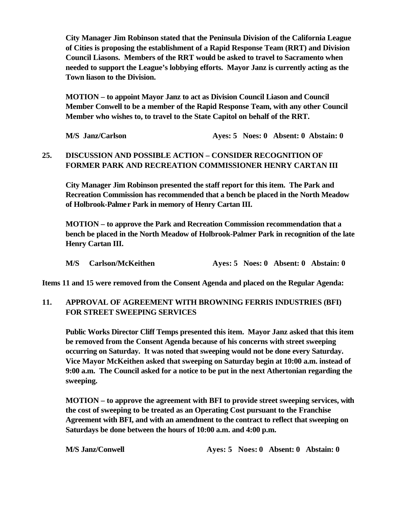**City Manager Jim Robinson stated that the Peninsula Division of the California League of Cities is proposing the establishment of a Rapid Response Team (RRT) and Division Council Liasons. Members of the RRT would be asked to travel to Sacramento when needed to support the League's lobbying efforts. Mayor Janz is currently acting as the Town liason to the Division.** 

**MOTION – to appoint Mayor Janz to act as Division Council Liason and Council Member Conwell to be a member of the Rapid Response Team, with any other Council Member who wishes to, to travel to the State Capitol on behalf of the RRT.**

**M/S** Janz/Carlson **Ayes: 5 Noes: 0 Absent: 0 Abstain: 0** 

## **25. DISCUSSION AND POSSIBLE ACTION – CONSIDER RECOGNITION OF FORMER PARK AND RECREATION COMMISSIONER HENRY CARTAN III**

**City Manager Jim Robinson presented the staff report for this item. The Park and Recreation Commission has recommended that a bench be placed in the North Meadow of Holbrook-Palmer Park in memory of Henry Cartan III.**

**MOTION – to approve the Park and Recreation Commission recommendation that a bench be placed in the North Meadow of Holbrook-Palmer Park in recognition of the late Henry Cartan III.**

|  | M/S Carlson/McKeithen |  |  |  | Aves: 5 Noes: 0 Absent: 0 Abstain: 0 |
|--|-----------------------|--|--|--|--------------------------------------|
|--|-----------------------|--|--|--|--------------------------------------|

**Items 11 and 15 were removed from the Consent Agenda and placed on the Regular Agenda:**

### **11. APPROVAL OF AGREEMENT WITH BROWNING FERRIS INDUSTRIES (BFI) FOR STREET SWEEPING SERVICES**

**Public Works Director Cliff Temps presented this item. Mayor Janz asked that this item be removed from the Consent Agenda because of his concerns with street sweeping occurring on Saturday. It was noted that sweeping would not be done every Saturday. Vice Mayor McKeithen asked that sweeping on Saturday begin at 10:00 a.m. instead of 9:00 a.m. The Council asked for a notice to be put in the next Athertonian regarding the sweeping.**

**MOTION – to approve the agreement with BFI to provide street sweeping services, with the cost of sweeping to be treated as an Operating Cost pursuant to the Franchise Agreement with BFI, and with an amendment to the contract to reflect that sweeping on Saturdays be done between the hours of 10:00 a.m. and 4:00 p.m.**

**M/S Janz/Conwell Ayes: 5 Noes: 0 Absent: 0 Abstain: 0**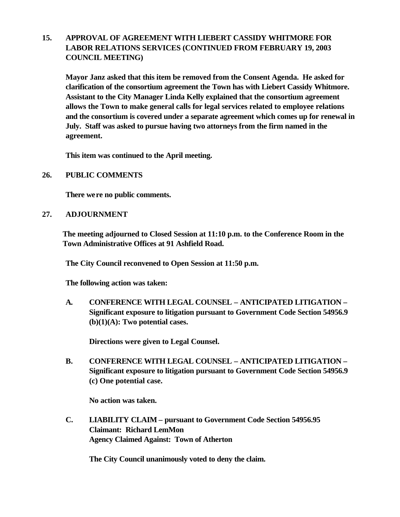## **15. APPROVAL OF AGREEMENT WITH LIEBERT CASSIDY WHITMORE FOR LABOR RELATIONS SERVICES (CONTINUED FROM FEBRUARY 19, 2003 COUNCIL MEETING)**

**Mayor Janz asked that this item be removed from the Consent Agenda. He asked for clarification of the consortium agreement the Town has with Liebert Cassidy Whitmore. Assistant to the City Manager Linda Kelly explained that the consortium agreement allows the Town to make general calls for legal services related to employee relations and the consortium is covered under a separate agreement which comes up for renewal in July. Staff was asked to pursue having two attorneys from the firm named in the agreement.**

**This item was continued to the April meeting.**

**26. PUBLIC COMMENTS**

**There were no public comments.**

**27. ADJOURNMENT**

**The meeting adjourned to Closed Session at 11:10 p.m. to the Conference Room in the Town Administrative Offices at 91 Ashfield Road.**

**The City Council reconvened to Open Session at 11:50 p.m.**

**The following action was taken:**

 **A. CONFERENCE WITH LEGAL COUNSEL – ANTICIPATED LITIGATION – Significant exposure to litigation pursuant to Government Code Section 54956.9 (b)(1)(A): Two potential cases.**

**Directions were given to Legal Counsel.**

**B. CONFERENCE WITH LEGAL COUNSEL – ANTICIPATED LITIGATION – Significant exposure to litigation pursuant to Government Code Section 54956.9 (c) One potential case.**

**No action was taken.**

 **C. LIABILITY CLAIM – pursuant to Government Code Section 54956.95 Claimant: Richard LemMon Agency Claimed Against: Town of Atherton** 

**The City Council unanimously voted to deny the claim.**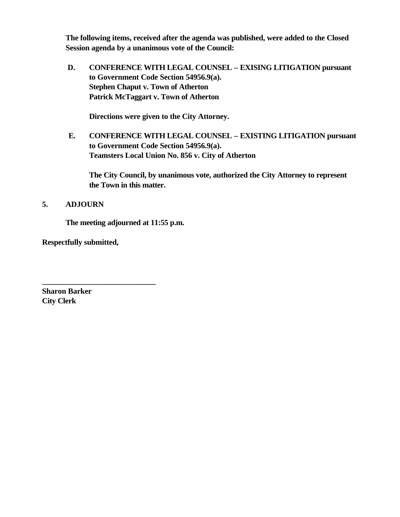**The following items, received after the agenda was published, were added to the Closed Session agenda by a unanimous vote of the Council:** 

 **D. CONFERENCE WITH LEGAL COUNSEL – EXISING LITIGATION pursuant to Government Code Section 54956.9(a). Stephen Chaput v. Town of Atherton Patrick McTaggart v. Town of Atherton**

**Directions were given to the City Attorney.**

**E. CONFERENCE WITH LEGAL COUNSEL – EXISTING LITIGATION pursuant to Government Code Section 54956.9(a). Teamsters Local Union No. 856 v. City of Atherton**

**The City Council, by unanimous vote, authorized the City Attorney to represent the Town in this matter.**

## **5. ADJOURN**

**The meeting adjourned at 11:55 p.m.**

**Respectfully submitted,**

**\_\_\_\_\_\_\_\_\_\_\_\_\_\_\_\_\_\_\_\_\_\_\_\_\_\_\_\_\_**

**Sharon Barker City Clerk**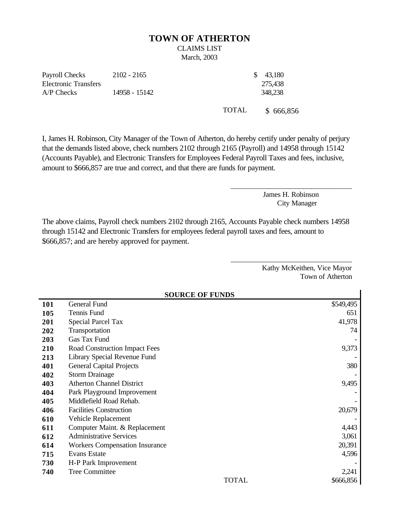#### **TOWN OF ATHERTON**

# CLAIMS LIST

March, 2003

Payroll Checks Electronic Transfers 2102 - 2165 \$ 43,180 A/P Checks 14958 - 15142 348,238

275,438

TOTAL \$ 666,856

I, James H. Robinson, City Manager of the Town of Atherton, do hereby certify under penalty of perjury that the demands listed above, check numbers 2102 through 2165 (Payroll) and 14958 through 15142 (Accounts Payable), and Electronic Transfers for Employees Federal Payroll Taxes and fees, inclusive, amount to \$666,857 are true and correct, and that there are funds for payment.

> James H. Robinson City Manager

\_\_\_\_\_\_\_\_\_\_\_\_\_\_\_\_\_\_\_\_\_\_\_\_\_\_\_\_\_\_\_

\_\_\_\_\_\_\_\_\_\_\_\_\_\_\_\_\_\_\_\_\_\_\_\_\_\_\_\_\_\_\_

The above claims, Payroll check numbers 2102 through 2165, Accounts Payable check numbers 14958 through 15142 and Electronic Transfers for employees federal payroll taxes and fees, amount to \$666,857; and are hereby approved for payment.

> Kathy McKeithen, Vice Mayor Town of Atherton

|            | <b>SOURCE OF FUNDS</b>                |           |  |  |
|------------|---------------------------------------|-----------|--|--|
| <b>101</b> | General Fund                          | \$549,495 |  |  |
| 105        | Tennis Fund                           | 651       |  |  |
| 201        | <b>Special Parcel Tax</b>             | 41,978    |  |  |
| 202        | Transportation                        | 74        |  |  |
| 203        | Gas Tax Fund                          |           |  |  |
| 210        | Road Construction Impact Fees         | 9,373     |  |  |
| 213        | Library Special Revenue Fund          |           |  |  |
| 401        | <b>General Capital Projects</b>       | 380       |  |  |
| 402        | <b>Storm Drainage</b>                 |           |  |  |
| 403        | <b>Atherton Channel District</b>      | 9,495     |  |  |
| 404        | Park Playground Improvement           |           |  |  |
| 405        | Middlefield Road Rehab.               |           |  |  |
| 406        | <b>Facilities Construction</b>        | 20,679    |  |  |
| 610        | Vehicle Replacement                   |           |  |  |
| 611        | Computer Maint. & Replacement         | 4,443     |  |  |
| 612        | <b>Administrative Services</b>        | 3,061     |  |  |
| 614        | <b>Workers Compensation Insurance</b> | 20,391    |  |  |
| 715        | <b>Evans Estate</b>                   | 4,596     |  |  |
| 730        | H-P Park Improvement                  |           |  |  |
| 740        | <b>Tree Committee</b>                 | 2,241     |  |  |
|            | <b>TOTAL</b>                          | \$666,856 |  |  |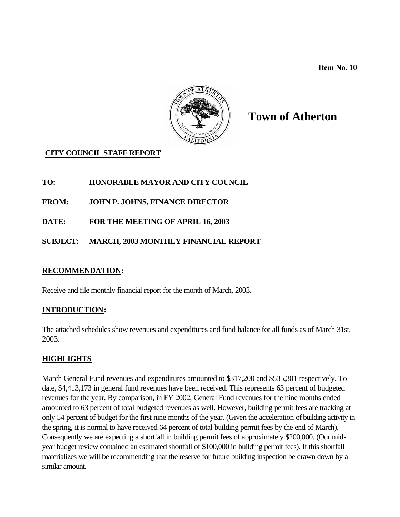**Item No. 10** 



# **Town of Atherton**

## **CITY COUNCIL STAFF REPORT**

**TO: HONORABLE MAYOR AND CITY COUNCIL**

**FROM: JOHN P. JOHNS, FINANCE DIRECTOR**

**DATE: FOR THE MEETING OF APRIL 16, 2003**

## **SUBJECT: MARCH, 2003 MONTHLY FINANCIAL REPORT**

### **RECOMMENDATION:**

Receive and file monthly financial report for the month of March, 2003.

### **INTRODUCTION:**

The attached schedules show revenues and expenditures and fund balance for all funds as of March 31st, 2003.

### **HIGHLIGHTS**

March General Fund revenues and expenditures amounted to \$317,200 and \$535,301 respectively. To date, \$4,413,173 in general fund revenues have been received. This represents 63 percent of budgeted revenues for the year. By comparison, in FY 2002, General Fund revenues for the nine months ended amounted to 63 percent of total budgeted revenues as well. However, building permit fees are tracking at only 54 percent of budget for the first nine months of the year. (Given the acceleration of building activity in the spring, it is normal to have received 64 percent of total building permit fees by the end of March). Consequently we are expecting a shortfall in building permit fees of approximately \$200,000. (Our midyear budget review contained an estimated shortfall of \$100,000 in building permit fees). If this shortfall materializes we will be recommending that the reserve for future building inspection be drawn down by a similar amount.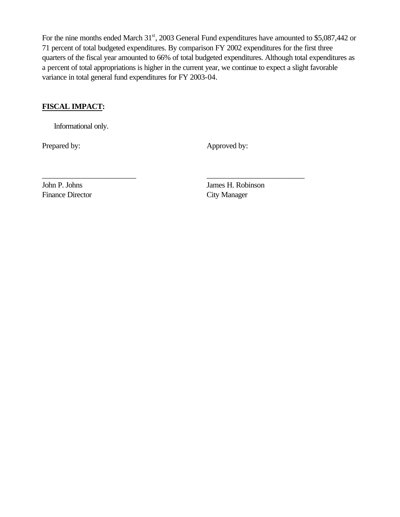For the nine months ended March 31<sup>st</sup>, 2003 General Fund expenditures have amounted to \$5,087,442 or 71 percent of total budgeted expenditures. By comparison FY 2002 expenditures for the first three quarters of the fiscal year amounted to 66% of total budgeted expenditures. Although total expenditures as a percent of total appropriations is higher in the current year, we continue to expect a slight favorable variance in total general fund expenditures for FY 2003-04.

\_\_\_\_\_\_\_\_\_\_\_\_\_\_\_\_\_\_\_\_\_\_\_\_ \_\_\_\_\_\_\_\_\_\_\_\_\_\_\_\_\_\_\_\_\_\_\_\_\_

## **FISCAL IMPACT:**

Informational only.

Prepared by: Approved by:

Finance Director City Manager

John P. Johns James H. Robinson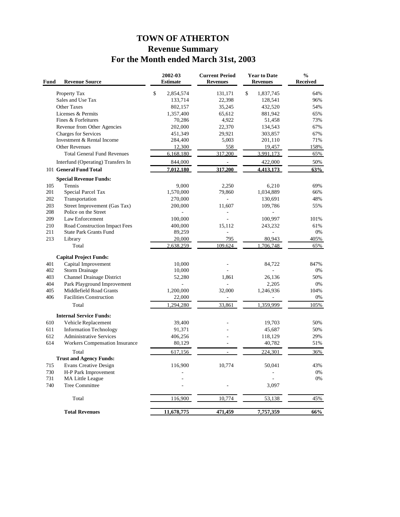## **TOWN OF ATHERTON Revenue Summary For the Month ended March 31st, 2003**

| Fund | <b>Revenue Source</b>              | 2002-03<br><b>Estimate</b> | <b>Current Period</b><br><b>Revenues</b> | <b>Year to Date</b><br><b>Revenues</b> | $\frac{0}{0}$<br><b>Received</b> |
|------|------------------------------------|----------------------------|------------------------------------------|----------------------------------------|----------------------------------|
|      | Property Tax                       | \$<br>2,854,574            | 131,171                                  | \$<br>1,837,745                        | 64%                              |
|      | Sales and Use Tax                  | 133,714                    | 22,398                                   | 128,541                                | 96%                              |
|      | <b>Other Taxes</b>                 | 802,157                    | 35,245                                   | 432,520                                | 54%                              |
|      | Licenses & Permits                 | 1,357,400                  | 65,612                                   | 881,942                                | 65%                              |
|      | Fines & Forfeitures                | 70,286                     | 4,922                                    | 51,458                                 | 73%                              |
|      | Revenue from Other Agencies        | 202,000                    | 22,370                                   | 134,543                                | 67%                              |
|      | <b>Charges for Services</b>        | 451,349                    | 29,921                                   | 303,857                                | 67%                              |
|      | Investment & Rental Income         | 284,400                    | 5,003                                    | 201,110                                | 71%                              |
|      | <b>Other Revenues</b>              | 12,300                     | 558                                      | 19,457                                 | 158%                             |
|      | <b>Total General Fund Revenues</b> | 6,168,180                  | 317,200                                  | 3,991,173                              | 65%                              |
|      | Interfund (Operating) Transfers In | 844,000                    | $\frac{1}{2}$                            | 422,000                                | 50%                              |
|      | 101 General Fund Total             | 7,012,180                  | 317,200                                  | 4,413,173                              | 63%                              |
|      | <b>Special Revenue Funds:</b>      |                            |                                          |                                        |                                  |
| 105  | Tennis                             | 9,000                      | 2,250                                    | 6,210                                  | 69%                              |
| 201  | Special Parcel Tax                 | 1,570,000                  | 79,860                                   | 1,034,889                              | 66%                              |
| 202  | Transportation                     | 270,000                    | $\overline{\phantom{a}}$                 | 130,691                                | 48%                              |
| 203  | Street Improvement (Gas Tax)       | 200,000                    | 11,607                                   | 109,786                                | 55%                              |
| 208  | Police on the Street               |                            | ÷,                                       |                                        |                                  |
| 209  | Law Enforcement                    | 100,000                    |                                          | 100,997                                | 101%                             |
| 210  | Road Construction Impact Fees      | 400,000                    | 15,112                                   | 243,232                                | 61%                              |
| 211  | <b>State Park Grants Fund</b>      | 89,259                     | L,                                       |                                        | 0%                               |
| 213  | Library                            | 20,000                     | 795                                      | 80,943                                 | 405%                             |
|      | Total                              | 2,638,259                  | 109,624                                  | 706,748                                | 65%                              |
|      | <b>Capital Project Funds:</b>      |                            |                                          |                                        |                                  |
| 401  | Capital Improvement                | 10,000                     |                                          | 84,722                                 | 847%                             |
| 402  | <b>Storm Drainage</b>              | 10,000                     |                                          |                                        | 0%                               |
| 403  | Channel Drainage District          | 52,280                     | 1,861                                    | 26,136                                 | 50%                              |
| 404  | Park Playground Improvement        |                            |                                          | 2,205                                  | 0%                               |
| 405  | Middlefield Road Grants            | 1,200,000                  | 32,000                                   | 1,246,936                              | 104%                             |
| 406  | <b>Facilities Construction</b>     | 22,000                     |                                          |                                        | 0%                               |
|      | Total                              | 1,294,280                  | 33,861                                   | 1,359,999                              | 105%                             |
|      | <b>Internal Service Funds:</b>     |                            |                                          |                                        |                                  |
| 610  | Vehicle Replacement                | 39,400                     |                                          | 19,703                                 | 50%                              |
| 611  | <b>Information Technology</b>      | 91,371                     |                                          | 45,687                                 | 50%                              |
| 612  | <b>Administrative Services</b>     | 406,256                    |                                          | 118,129                                | 29%                              |
| 614  | Workers Compensation Insurance     | 80,129                     |                                          | 40,782                                 | 51%                              |
|      | Total                              | 617,156                    |                                          | 224,301                                | 36%                              |
|      | <b>Trust and Agency Funds:</b>     |                            |                                          |                                        |                                  |
| 715  | <b>Evans Creative Design</b>       | 116,900                    | 10,774                                   | 50,041                                 | 43%                              |
| 730  | H-P Park Improvement               |                            |                                          |                                        | $0\%$                            |
| 731  | MA Little League                   |                            |                                          |                                        | 0%                               |
| 740  | <b>Tree Committee</b>              |                            |                                          | 3,097                                  |                                  |
|      | Total                              | 116,900                    | 10,774                                   | 53,138                                 | 45%                              |
|      | <b>Total Revenues</b>              |                            | 471,459                                  | 7,757,359                              |                                  |
|      |                                    | 11,678,775                 |                                          |                                        | 66%                              |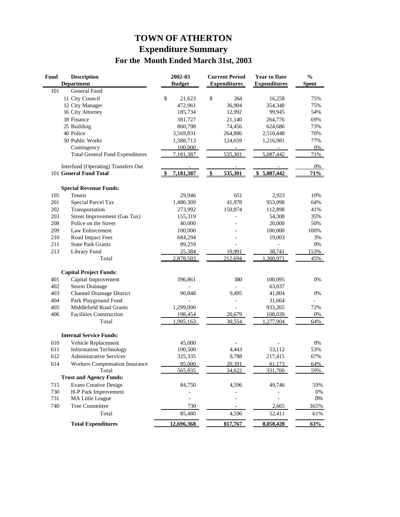# **TOWN OF ATHERTON Expenditure Summary For the Month Ended March 31st, 2003**

| Fund | <b>Description</b><br><b>Department</b> | 2002-03          | <b>Current Period</b><br><b>Expenditures</b> | <b>Year to Date</b><br><b>Expenditures</b> | $\frac{0}{0}$<br><b>Spent</b> |
|------|-----------------------------------------|------------------|----------------------------------------------|--------------------------------------------|-------------------------------|
| 101  | <b>General Fund</b>                     | <b>Budget</b>    |                                              |                                            |                               |
|      |                                         |                  |                                              |                                            | 75%                           |
|      | 11 City Council                         | \$<br>21,623     | \$<br>264                                    | 16,258                                     |                               |
|      | 12 City Manager                         | 472,961          | 36,904                                       | 354,348                                    | 75%                           |
|      | 16 City Attorney                        | 185,734          | 12,992                                       | 99,945                                     | 54%                           |
|      | 18 Finance                              | 381,727          | 21,140                                       | 264,776                                    | 69%                           |
|      | 25 Building                             | 860,798          | 74,456                                       | 624,686                                    | 73%                           |
|      | 40 Police                               | 3,569,831        | 264,886                                      | 2,510,448                                  | 70%                           |
|      | 50 Public Works                         | 1,588,713        | 124,659                                      | 1,216,981                                  | 77%                           |
|      | Contingency                             | 100,000          |                                              |                                            | 0%                            |
|      | <b>Total General Fund Expenditures</b>  | 7,181,387        | 535,301                                      | 5,087,442                                  | 71%                           |
|      | Interfund (Operating) Transfers Out     |                  |                                              |                                            | 0%                            |
|      | 101 General Fund Total                  | 7,181,387<br>-\$ | $\frac{1}{2}$<br>535,301                     | \$5,087,442                                | 71%                           |
|      | <b>Special Revenue Funds:</b>           |                  |                                              |                                            |                               |
| 105  | Tennis                                  | 29,946           | 651                                          | 2,923                                      | 10%                           |
| 201  | Special Parcel Tax                      | 1,480,309        | 41,978                                       | 953,098                                    | 64%                           |
| 202  | Transportation                          | 273,992          | 150,074                                      | 112,898                                    | 41%                           |
| 203  | Street Improvement (Gas Tax)            | 155,319          |                                              | 54,308                                     | 35%                           |
| 208  | Police on the Street                    | 40,000           |                                              | 20,000                                     | 50%                           |
| 209  | Law Enforcement                         | 100,000          |                                              | 100,000                                    | 100%                          |
| 210  | Road Impact Fees                        | 684,294          |                                              | 19,003                                     | 3%                            |
| 211  | <b>State Park Grants</b>                | 89,259           |                                              |                                            | $0\%$                         |
| 213  | Library Fund                            | 25,384           | 19.991                                       | 38.741                                     | 153%                          |
|      | Total                                   | 2,878,503        | 212,694                                      | 300,971                                    | 45%                           |
|      | <b>Capital Project Funds:</b>           |                  |                                              |                                            |                               |
| 401  | Capital Improvement                     | 396,861          | 380                                          | 100,095                                    | 0%                            |
| 402  | <b>Storm Drainage</b>                   |                  |                                              | 63,037                                     |                               |
| 403  | Channel Drainage District               | 90,848           | 9,495                                        | 41,804                                     | 0%                            |
| 404  | Park Playground Fund                    |                  |                                              | 31,664                                     |                               |
| 405  | Middlefield Road Grants                 | 1,299,000        |                                              | 933,265                                    | 72%                           |
| 406  | <b>Facilities Construction</b>          | 198,454          | 20,679                                       | 108,039                                    | 0%                            |
|      | Total                                   | 1,985,163        | 30,554                                       | 1,277,904                                  | 64%                           |
|      |                                         |                  |                                              |                                            |                               |
|      | <b>Internal Service Funds:</b>          |                  |                                              |                                            |                               |
| 610  | Vehicle Replacement                     | 45,000           |                                              |                                            | 0%                            |
| 611  | <b>Information Technology</b>           | 100,500          | 4,443                                        | 53,112                                     | 53%                           |
| 612  | <b>Administrative Services</b>          | 325,335          | 9,788                                        | 217,415                                    | 67%                           |
| 614  | <b>Workers Compensation Insurance</b>   | 95,000           | 20.391                                       | 61.173                                     | 64%                           |
|      | Total                                   | 565,835          | 34,622                                       | 331,700                                    | 59%                           |
|      | <b>Trust and Agency Funds:</b>          |                  |                                              |                                            |                               |
| 715  | <b>Evans Creative Design</b>            | 84,750           | 4,596                                        | 49,746                                     | 59%                           |
| 730  | H-P Park Improvement                    |                  |                                              |                                            | 0%                            |
| 731  | MA Little League                        | $\overline{a}$   |                                              | $\frac{1}{2}$                              | $0\%$                         |
| 740  | Tree Committee                          | 730              |                                              | 2,665                                      | 365%                          |
|      | Total                                   | 85,480           | 4,596                                        | 52,411                                     | 61%                           |
|      | <b>Total Expenditures</b>               | 12,696,368       | 817,767                                      | 8,050,428                                  | 63%                           |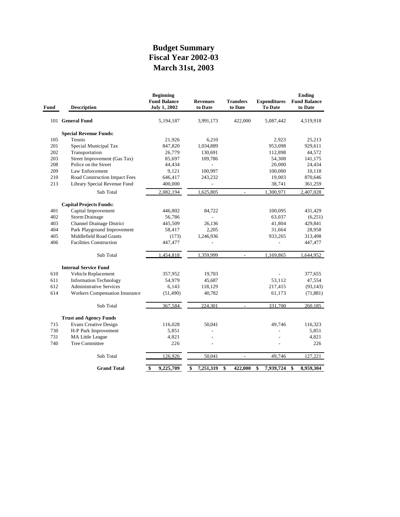## **March 31st, 2003 Fiscal Year 2002-03 Budget Summary**

| Fund | <b>Description</b>                    | <b>Beginning</b><br><b>Fund Balance</b><br><b>July 1, 2002</b> | <b>Revenues</b><br>to Date | <b>Transfers</b><br>to Date | <b>Expenditures</b><br><b>To Date</b> | <b>Ending</b><br><b>Fund Balance</b><br>to Date |
|------|---------------------------------------|----------------------------------------------------------------|----------------------------|-----------------------------|---------------------------------------|-------------------------------------------------|
|      | 101 General Fund                      | 5,194,187                                                      | 3,991,173                  | 422,000                     | 5,087,442                             | 4,519,918                                       |
|      | <b>Special Revenue Funds:</b>         |                                                                |                            |                             |                                       |                                                 |
| 105  | Tennis                                | 21,926                                                         | 6,210                      |                             | 2,923                                 | 25,213                                          |
| 201  | Special Municipal Tax                 | 847,820                                                        | 1,034,889                  |                             | 953,098                               | 929,611                                         |
| 202  | Transportation                        | 26,779                                                         | 130,691                    |                             | 112,898                               | 44,572                                          |
| 203  | Street Improvement (Gas Tax)          | 85,697                                                         | 109,786                    |                             | 54,308                                | 141,175                                         |
| 208  | Police on the Street                  | 44,434                                                         |                            |                             | 20,000                                | 24,434                                          |
| 209  | Law Enforcement                       | 9,121                                                          | 100,997                    |                             | 100,000                               | 10,118                                          |
| 210  | Road Construction Impact Fees         | 646,417                                                        | 243,232                    |                             | 19,003                                | 870,646                                         |
| 213  | Library Special Revenue Fund          | 400,000                                                        | $\overline{a}$             |                             | 38,741                                | 361,259                                         |
|      | Sub Total                             | 2,082,194                                                      | 1,625,805                  |                             | 1,300,971                             | 2,407,028                                       |
|      | <b>Capital Projects Funds:</b>        |                                                                |                            |                             |                                       |                                                 |
| 401  | Capital Improvement                   | 446,802                                                        | 84,722                     |                             | 100,095                               | 431,429                                         |
| 402  | <b>Storm Drainage</b>                 | 56,786                                                         |                            |                             | 63,037                                | (6,251)                                         |
| 403  | <b>Channel Drainage District</b>      | 445,509                                                        | 26,136                     |                             | 41,804                                | 429,841                                         |
| 404  | Park Playground Improvement           | 58,417                                                         | 2,205                      |                             | 31,664                                | 28,958                                          |
| 405  | Middlefield Road Grants               | (173)                                                          | 1,246,936                  |                             | 933,265                               | 313,498                                         |
| 406  | <b>Facilities Construction</b>        | 447,477                                                        | $\overline{\phantom{0}}$   |                             | $\overline{a}$                        | 447,477                                         |
|      | Sub Total                             | 1,454,818                                                      | 1,359,999                  | $\overline{\phantom{a}}$    | 1,169,865                             | 1,644,952                                       |
|      | <b>Internal Service Fund</b>          |                                                                |                            |                             |                                       |                                                 |
| 610  | Vehicle Replacement                   | 357,952                                                        | 19,703                     |                             |                                       | 377,655                                         |
| 611  | <b>Information Technology</b>         | 54,979                                                         | 45,687                     |                             | 53,112                                | 47,554                                          |
| 612  | <b>Administrative Services</b>        | 6,143                                                          | 118,129                    |                             | 217,415                               | (93, 143)                                       |
| 614  | <b>Workers Compensation Insurance</b> | (51, 490)                                                      | 40,782                     |                             | 61,173                                | (71, 881)                                       |
|      | Sub Total                             | 367,584                                                        | 224,301                    | $\overline{a}$              | 331,700                               | 260,185                                         |
|      | <b>Trust and Agency Funds</b>         |                                                                |                            |                             |                                       |                                                 |
| 715  | <b>Evans Creative Design</b>          | 116,028                                                        | 50,041                     |                             | 49,746                                | 116,323                                         |
| 730  | H-P Park Improvement                  | 5,851                                                          |                            |                             |                                       | 5,851                                           |
| 731  | <b>MA Little League</b>               | 4,821                                                          |                            |                             |                                       | 4,821                                           |
| 740  | <b>Tree Committee</b>                 | 226                                                            |                            |                             |                                       | 226                                             |
|      | Sub Total                             | 126,926                                                        | 50,041                     | $\overline{\phantom{a}}$    | 49,746                                | 127,221                                         |
|      |                                       |                                                                |                            |                             |                                       |                                                 |
|      | <b>Grand Total</b>                    | 9,225,709<br>\$                                                | \$<br>7,251,319            | \$<br>422,000               | 7,939,724<br>\$                       | \$<br>8,959,304                                 |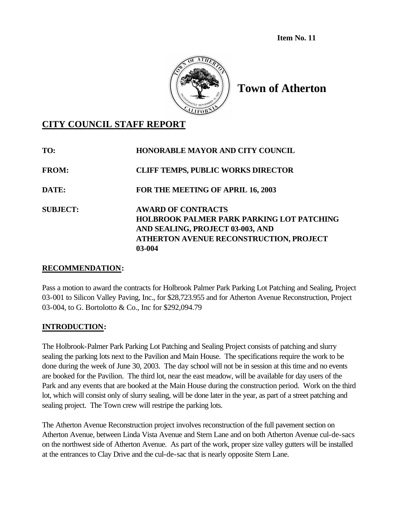**Item No. 11**



**Town of Atherton**

## **CITY COUNCIL STAFF REPORT**

| TO:             | <b>HONORABLE MAYOR AND CITY COUNCIL</b>                                                                                                                                |
|-----------------|------------------------------------------------------------------------------------------------------------------------------------------------------------------------|
| <b>FROM:</b>    | <b>CLIFF TEMPS, PUBLIC WORKS DIRECTOR</b>                                                                                                                              |
| DATE:           | FOR THE MEETING OF APRIL 16, 2003                                                                                                                                      |
| <b>SUBJECT:</b> | <b>AWARD OF CONTRACTS</b><br><b>HOLBROOK PALMER PARK PARKING LOT PATCHING</b><br>AND SEALING, PROJECT 03-003, AND<br>ATHERTON AVENUE RECONSTRUCTION, PROJECT<br>03-004 |

### **RECOMMENDATION:**

Pass a motion to award the contracts for Holbrook Palmer Park Parking Lot Patching and Sealing, Project 03-001 to Silicon Valley Paving, Inc., for \$28,723.955 and for Atherton Avenue Reconstruction, Project 03-004, to G. Bortolotto & Co., Inc for \$292,094.79

## **INTRODUCTION:**

The Holbrook-Palmer Park Parking Lot Patching and Sealing Project consists of patching and slurry sealing the parking lots next to the Pavilion and Main House. The specifications require the work to be done during the week of June 30, 2003. The day school will not be in session at this time and no events are booked for the Pavilion. The third lot, near the east meadow, will be available for day users of the Park and any events that are booked at the Main House during the construction period. Work on the third lot, which will consist only of slurry sealing, will be done later in the year, as part of a street patching and sealing project. The Town crew will restripe the parking lots.

The Atherton Avenue Reconstruction project involves reconstruction of the full pavement section on Atherton Avenue, between Linda Vista Avenue and Stern Lane and on both Atherton Avenue cul-de-sacs on the northwest side of Atherton Avenue. As part of the work, proper size valley gutters will be installed at the entrances to Clay Drive and the cul-de-sac that is nearly opposite Stern Lane.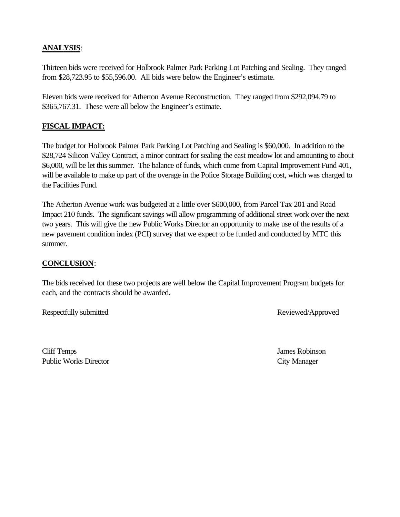## **ANALYSIS**:

Thirteen bids were received for Holbrook Palmer Park Parking Lot Patching and Sealing. They ranged from \$28,723.95 to \$55,596.00. All bids were below the Engineer's estimate.

Eleven bids were received for Atherton Avenue Reconstruction. They ranged from \$292,094.79 to \$365,767.31. These were all below the Engineer's estimate.

## **FISCAL IMPACT:**

The budget for Holbrook Palmer Park Parking Lot Patching and Sealing is \$60,000. In addition to the \$28,724 Silicon Valley Contract, a minor contract for sealing the east meadow lot and amounting to about \$6,000, will be let this summer. The balance of funds, which come from Capital Improvement Fund 401, will be available to make up part of the overage in the Police Storage Building cost, which was charged to the Facilities Fund.

The Atherton Avenue work was budgeted at a little over \$600,000, from Parcel Tax 201 and Road Impact 210 funds. The significant savings will allow programming of additional street work over the next two years. This will give the new Public Works Director an opportunity to make use of the results of a new pavement condition index (PCI) survey that we expect to be funded and conducted by MTC this summer.

### **CONCLUSION**:

The bids received for these two projects are well below the Capital Improvement Program budgets for each, and the contracts should be awarded.

Respectfully submitted Reviewed/Approved

Cliff Temps James Robinson Public Works Director City Manager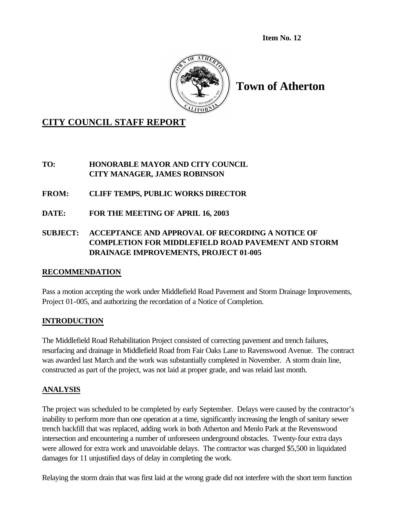**Item No. 12**



**Town of Atherton**

## **CITY COUNCIL STAFF REPORT**

**TO: HONORABLE MAYOR AND CITY COUNCIL CITY MANAGER, JAMES ROBINSON**

- **FROM: CLIFF TEMPS, PUBLIC WORKS DIRECTOR**
- **DATE: FOR THE MEETING OF APRIL 16, 2003**

## **SUBJECT: ACCEPTANCE AND APPROVAL OF RECORDING A NOTICE OF COMPLETION FOR MIDDLEFIELD ROAD PAVEMENT AND STORM DRAINAGE IMPROVEMENTS, PROJECT 01-005**

## **RECOMMENDATION**

Pass a motion accepting the work under Middlefield Road Pavement and Storm Drainage Improvements, Project 01-005, and authorizing the recordation of a Notice of Completion.

## **INTRODUCTION**

The Middlefield Road Rehabilitation Project consisted of correcting pavement and trench failures, resurfacing and drainage in Middlefield Road from Fair Oaks Lane to Ravenswood Avenue. The contract was awarded last March and the work was substantially completed in November. A storm drain line, constructed as part of the project, was not laid at proper grade, and was relaid last month.

## **ANALYSIS**

The project was scheduled to be completed by early September. Delays were caused by the contractor's inability to perform more than one operation at a time, significantly increasing the length of sanitary sewer trench backfill that was replaced, adding work in both Atherton and Menlo Park at the Revenswood intersection and encountering a number of unforeseen underground obstacles. Twenty-four extra days were allowed for extra work and unavoidable delays. The contractor was charged \$5,500 in liquidated damages for 11 unjustified days of delay in completing the work.

Relaying the storm drain that was first laid at the wrong grade did not interfere with the short term function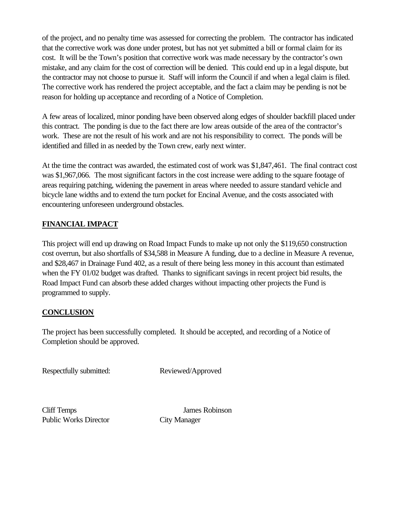of the project, and no penalty time was assessed for correcting the problem. The contractor has indicated that the corrective work was done under protest, but has not yet submitted a bill or formal claim for its cost. It will be the Town's position that corrective work was made necessary by the contractor's own mistake, and any claim for the cost of correction will be denied. This could end up in a legal dispute, but the contractor may not choose to pursue it. Staff will inform the Council if and when a legal claim is filed. The corrective work has rendered the project acceptable, and the fact a claim may be pending is not be reason for holding up acceptance and recording of a Notice of Completion.

A few areas of localized, minor ponding have been observed along edges of shoulder backfill placed under this contract. The ponding is due to the fact there are low areas outside of the area of the contractor's work. These are not the result of his work and are not his responsibility to correct. The ponds will be identified and filled in as needed by the Town crew, early next winter.

At the time the contract was awarded, the estimated cost of work was \$1,847,461. The final contract cost was \$1,967,066. The most significant factors in the cost increase were adding to the square footage of areas requiring patching, widening the pavement in areas where needed to assure standard vehicle and bicycle lane widths and to extend the turn pocket for Encinal Avenue, and the costs associated with encountering unforeseen underground obstacles.

## **FINANCIAL IMPACT**

This project will end up drawing on Road Impact Funds to make up not only the \$119,650 construction cost overrun, but also shortfalls of \$34,588 in Measure A funding, due to a decline in Measure A revenue, and \$28,467 in Drainage Fund 402, as a result of there being less money in this account than estimated when the FY 01/02 budget was drafted. Thanks to significant savings in recent project bid results, the Road Impact Fund can absorb these added charges without impacting other projects the Fund is programmed to supply.

### **CONCLUSION**

The project has been successfully completed. It should be accepted, and recording of a Notice of Completion should be approved.

Respectfully submitted: Reviewed/Approved

Public Works Director City Manager

Cliff Temps James Robinson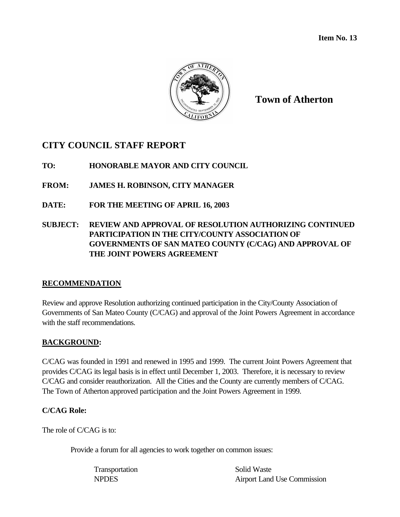

**Town of Atherton**

## **CITY COUNCIL STAFF REPORT**

**TO: HONORABLE MAYOR AND CITY COUNCIL**

**FROM: JAMES H. ROBINSON, CITY MANAGER**

**DATE: FOR THE MEETING OF APRIL 16, 2003**

## **SUBJECT: REVIEW AND APPROVAL OF RESOLUTION AUTHORIZING CONTINUED PARTICIPATION IN THE CITY/COUNTY ASSOCIATION OF GOVERNMENTS OF SAN MATEO COUNTY (C/CAG) AND APPROVAL OF THE JOINT POWERS AGREEMENT**

## **RECOMMENDATION**

Review and approve Resolution authorizing continued participation in the City/County Association of Governments of San Mateo County (C/CAG) and approval of the Joint Powers Agreement in accordance with the staff recommendations.

## **BACKGROUND:**

C/CAG was founded in 1991 and renewed in 1995 and 1999. The current Joint Powers Agreement that provides C/CAG its legal basis is in effect until December 1, 2003. Therefore, it is necessary to review C/CAG and consider reauthorization. All the Cities and the County are currently members of C/CAG. The Town of Atherton approved participation and the Joint Powers Agreement in 1999.

## **C/CAG Role:**

The role of C/CAG is to:

Provide a forum for all agencies to work together on common issues:

Transportation Solid Waste

NPDES Airport Land Use Commission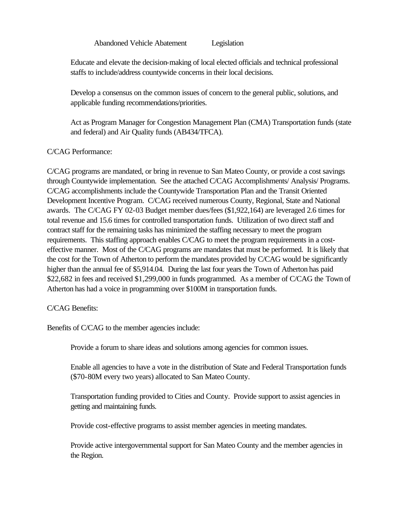Abandoned Vehicle Abatement Legislation

Educate and elevate the decision-making of local elected officials and technical professional staffs to include/address countywide concerns in their local decisions.

Develop a consensus on the common issues of concern to the general public, solutions, and applicable funding recommendations/priorities.

Act as Program Manager for Congestion Management Plan (CMA) Transportation funds (state and federal) and Air Quality funds (AB434/TFCA).

#### C/CAG Performance:

C/CAG programs are mandated, or bring in revenue to San Mateo County, or provide a cost savings through Countywide implementation. See the attached C/CAG Accomplishments/ Analysis/ Programs. C/CAG accomplishments include the Countywide Transportation Plan and the Transit Oriented Development Incentive Program. C/CAG received numerous County, Regional, State and National awards. The C/CAG FY 02-03 Budget member dues/fees (\$1,922,164) are leveraged 2.6 times for total revenue and 15.6 times for controlled transportation funds. Utilization of two direct staff and contract staff for the remaining tasks has minimized the staffing necessary to meet the program requirements. This staffing approach enables C/CAG to meet the program requirements in a costeffective manner. Most of the C/CAG programs are mandates that must be performed. It is likely that the cost for the Town of Atherton to perform the mandates provided by C/CAG would be significantly higher than the annual fee of \$5,914.04. During the last four years the Town of Atherton has paid \$22,682 in fees and received \$1,299,000 in funds programmed. As a member of C/CAG the Town of Atherton has had a voice in programming over \$100M in transportation funds.

#### C/CAG Benefits:

Benefits of C/CAG to the member agencies include:

Provide a forum to share ideas and solutions among agencies for common issues.

Enable all agencies to have a vote in the distribution of State and Federal Transportation funds (\$70-80M every two years) allocated to San Mateo County.

Transportation funding provided to Cities and County. Provide support to assist agencies in getting and maintaining funds.

Provide cost-effective programs to assist member agencies in meeting mandates.

Provide active intergovernmental support for San Mateo County and the member agencies in the Region.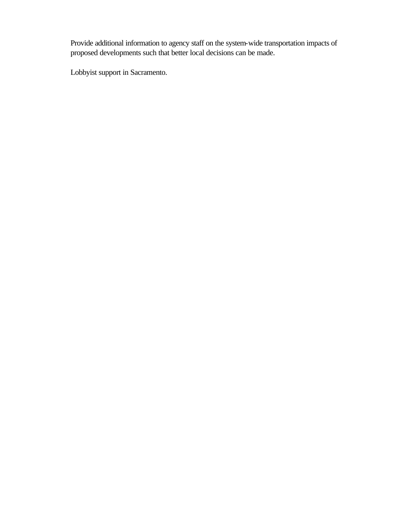Provide additional information to agency staff on the system-wide transportation impacts of proposed developments such that better local decisions can be made.

Lobbyist support in Sacramento.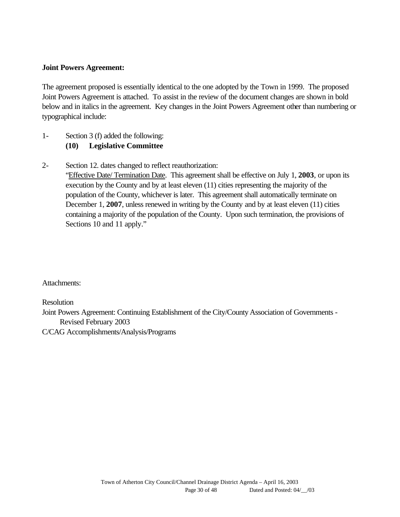#### **Joint Powers Agreement:**

The agreement proposed is essentially identical to the one adopted by the Town in 1999. The proposed Joint Powers Agreement is attached. To assist in the review of the document changes are shown in bold below and in italics in the agreement. Key changes in the Joint Powers Agreement other than numbering or typographical include:

- 1- Section 3 (f) added the following: **(10) Legislative Committee**
- 2- Section 12. dates changed to reflect reauthorization:

"Effective Date/ Termination Date. This agreement shall be effective on July 1, **2003**, or upon its execution by the County and by at least eleven (11) cities representing the majority of the population of the County, whichever is later. This agreement shall automatically terminate on December 1, **2007**, unless renewed in writing by the County and by at least eleven (11) cities containing a majority of the population of the County. Upon such termination, the provisions of Sections 10 and 11 apply."

Attachments:

Resolution

Joint Powers Agreement: Continuing Establishment of the City/County Association of Governments - Revised February 2003

C/CAG Accomplishments/Analysis/Programs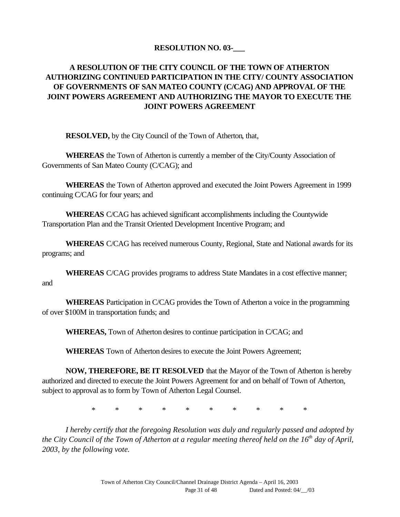### **RESOLUTION NO. 03-\_\_\_**

## **A RESOLUTION OF THE CITY COUNCIL OF THE TOWN OF ATHERTON AUTHORIZING CONTINUED PARTICIPATION IN THE CITY/ COUNTY ASSOCIATION OF GOVERNMENTS OF SAN MATEO COUNTY (C/CAG) AND APPROVAL OF THE JOINT POWERS AGREEMENT AND AUTHORIZING THE MAYOR TO EXECUTE THE JOINT POWERS AGREEMENT**

**RESOLVED,** by the City Council of the Town of Atherton, that,

**WHEREAS** the Town of Atherton is currently a member of the City/County Association of Governments of San Mateo County (C/CAG); and

**WHEREAS** the Town of Atherton approved and executed the Joint Powers Agreement in 1999 continuing C/CAG for four years; and

**WHEREAS** C/CAG has achieved significant accomplishments including the Countywide Transportation Plan and the Transit Oriented Development Incentive Program; and

**WHEREAS** C/CAG has received numerous County, Regional, State and National awards for its programs; and

**WHEREAS** C/CAG provides programs to address State Mandates in a cost effective manner; and

**WHEREAS** Participation in C/CAG provides the Town of Atherton a voice in the programming of over \$100M in transportation funds; and

**WHEREAS,** Town of Atherton desires to continue participation in C/CAG; and

**WHEREAS** Town of Atherton desires to execute the Joint Powers Agreement;

**NOW, THEREFORE, BE IT RESOLVED** that the Mayor of the Town of Atherton is hereby authorized and directed to execute the Joint Powers Agreement for and on behalf of Town of Atherton, subject to approval as to form by Town of Atherton Legal Counsel.

\* \* \* \* \* \* \* \* \* \*

*I hereby certify that the foregoing Resolution was duly and regularly passed and adopted by the City Council of the Town of Atherton at a regular meeting thereof held on the 16th day of April, 2003, by the following vote.*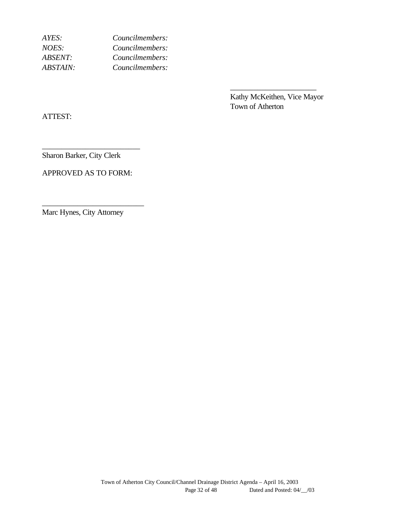| Councilmembers: |
|-----------------|
| Councilmembers: |
| Councilmembers: |
| Councilmembers: |
|                 |

Kathy McKeithen, Vice Mayor Town of Atherton

\_\_\_\_\_\_\_\_\_\_\_\_\_\_\_\_\_\_\_\_\_\_

ATTEST:

Sharon Barker, City Clerk

APPROVED AS TO FORM:

\_\_\_\_\_\_\_\_\_\_\_\_\_\_\_\_\_\_\_\_\_\_\_\_\_\_

\_\_\_\_\_\_\_\_\_\_\_\_\_\_\_\_\_\_\_\_\_\_\_\_\_

Marc Hynes, City Attorney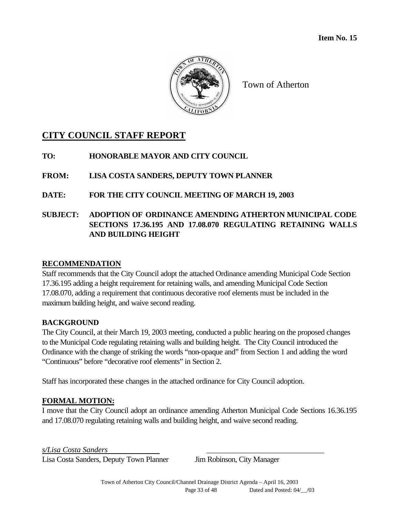

Town of Atherton

## **CITY COUNCIL STAFF REPORT**

**TO: HONORABLE MAYOR AND CITY COUNCIL**

**FROM: LISA COSTA SANDERS, DEPUTY TOWN PLANNER**

**DATE: FOR THE CITY COUNCIL MEETING OF MARCH 19, 2003** 

**SUBJECT: ADOPTION OF ORDINANCE AMENDING ATHERTON MUNICIPAL CODE SECTIONS 17.36.195 AND 17.08.070 REGULATING RETAINING WALLS AND BUILDING HEIGHT**

### **RECOMMENDATION**

Staff recommends that the City Council adopt the attached Ordinance amending Municipal Code Section 17.36.195 adding a height requirement for retaining walls, and amending Municipal Code Section 17.08.070, adding a requirement that continuous decorative roof elements must be included in the maximum building height, and waive second reading.

### **BACKGROUND**

The City Council, at their March 19, 2003 meeting, conducted a public hearing on the proposed changes to the Municipal Code regulating retaining walls and building height. The City Council introduced the Ordinance with the change of striking the words "non-opaque and" from Section 1 and adding the word "Continuous" before "decorative roof elements" in Section 2.

Staff has incorporated these changes in the attached ordinance for City Council adoption.

### **FORMAL MOTION:**

I move that the City Council adopt an ordinance amending Atherton Municipal Code Sections 16.36.195 and 17.08.070 regulating retaining walls and building height, and waive second reading.

*s/Lisa Costa Sanders* \_\_\_\_\_\_\_\_\_\_\_\_\_\_\_\_\_\_\_\_\_\_\_\_\_\_\_\_\_\_

Lisa Costa Sanders, Deputy Town Planner Jim Robinson, City Manager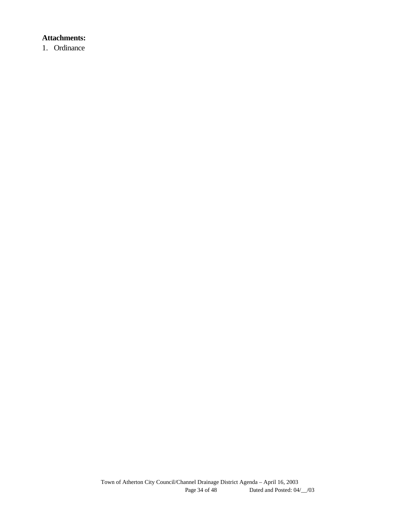## **Attachments:**

1. Ordinance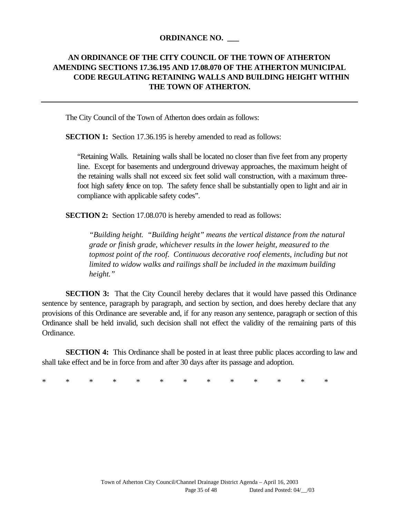#### **ORDINANCE NO. \_\_\_**

## **AN ORDINANCE OF THE CITY COUNCIL OF THE TOWN OF ATHERTON AMENDING SECTIONS 17.36.195 AND 17.08.070 OF THE ATHERTON MUNICIPAL CODE REGULATING RETAINING WALLS AND BUILDING HEIGHT WITHIN THE TOWN OF ATHERTON.**

The City Council of the Town of Atherton does ordain as follows:

**SECTION 1:** Section 17.36.195 is hereby amended to read as follows:

"Retaining Walls. Retaining walls shall be located no closer than five feet from any property line. Except for basements and underground driveway approaches, the maximum height of the retaining walls shall not exceed six feet solid wall construction, with a maximum threefoot high safety fence on top. The safety fence shall be substantially open to light and air in compliance with applicable safety codes".

**SECTION 2:** Section 17.08.070 is hereby amended to read as follows:

*"Building height. "Building height" means the vertical distance from the natural grade or finish grade, whichever results in the lower height, measured to the topmost point of the roof. Continuous decorative roof elements, including but not limited to widow walks and railings shall be included in the maximum building height."*

**SECTION 3:** That the City Council hereby declares that it would have passed this Ordinance sentence by sentence, paragraph by paragraph, and section by section, and does hereby declare that any provisions of this Ordinance are severable and, if for any reason any sentence, paragraph or section of this Ordinance shall be held invalid, such decision shall not effect the validity of the remaining parts of this Ordinance.

**SECTION 4:** This Ordinance shall be posted in at least three public places according to law and shall take effect and be in force from and after 30 days after its passage and adoption.

\* \* \* \* \* \* \* \* \* \* \* \* \*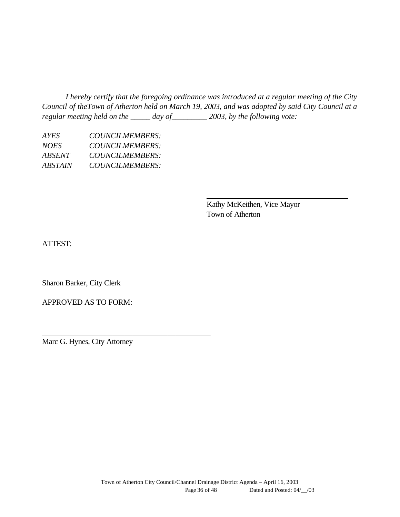*I hereby certify that the foregoing ordinance was introduced at a regular meeting of the City Council of theTown of Atherton held on March 19, 2003, and was adopted by said City Council at a regular meeting held on the \_\_\_\_\_ day of\_\_\_\_\_\_\_\_\_ 2003, by the following vote:*

| AYES.       | <b>COUNCILMEMBERS:</b> |
|-------------|------------------------|
| <i>NOES</i> | COUNCILMEMBERS:        |
| ABSENT      | COUNCILMEMBERS:        |
| ABSTAIN     | <i>COUNCILMEMBERS:</i> |
|             |                        |

Kathy McKeithen, Vice Mayor Town of Atherton

ATTEST:

Sharon Barker, City Clerk

APPROVED AS TO FORM:

Marc G. Hynes, City Attorney

\_\_\_\_\_\_\_\_\_\_\_\_\_\_\_\_\_\_\_\_\_\_\_\_\_\_\_\_\_\_\_\_\_\_\_\_\_\_\_\_\_\_\_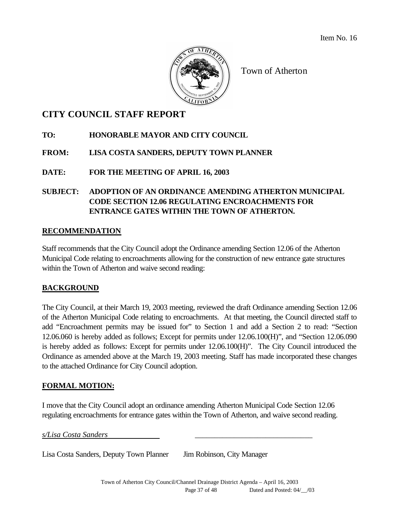Item No. 16



Town of Atherton

## **CITY COUNCIL STAFF REPORT**

## **TO: HONORABLE MAYOR AND CITY COUNCIL**

## **FROM: LISA COSTA SANDERS, DEPUTY TOWN PLANNER**

**DATE: FOR THE MEETING OF APRIL 16, 2003**

## **SUBJECT: ADOPTION OF AN ORDINANCE AMENDING ATHERTON MUNICIPAL CODE SECTION 12.06 REGULATING ENCROACHMENTS FOR ENTRANCE GATES WITHIN THE TOWN OF ATHERTON.**

## **RECOMMENDATION**

Staff recommends that the City Council adopt the Ordinance amending Section 12.06 of the Atherton Municipal Code relating to encroachments allowing for the construction of new entrance gate structures within the Town of Atherton and waive second reading:

## **BACKGROUND**

The City Council, at their March 19, 2003 meeting, reviewed the draft Ordinance amending Section 12.06 of the Atherton Municipal Code relating to encroachments. At that meeting, the Council directed staff to add "Encroachment permits may be issued for" to Section 1 and add a Section 2 to read: "Section 12.06.060 is hereby added as follows; Except for permits under 12.06.100(H)", and "Section 12.06.090 is hereby added as follows: Except for permits under 12.06.100(H)". The City Council introduced the Ordinance as amended above at the March 19, 2003 meeting. Staff has made incorporated these changes to the attached Ordinance for City Council adoption.

## **FORMAL MOTION:**

I move that the City Council adopt an ordinance amending Atherton Municipal Code Section 12.06 regulating encroachments for entrance gates within the Town of Atherton, and waive second reading.

*s/Lisa Costa Sanders* \_\_\_\_\_\_\_\_\_\_\_\_\_\_\_\_\_\_\_\_\_\_\_\_\_\_\_\_\_\_

Lisa Costa Sanders, Deputy Town Planner Jim Robinson, City Manager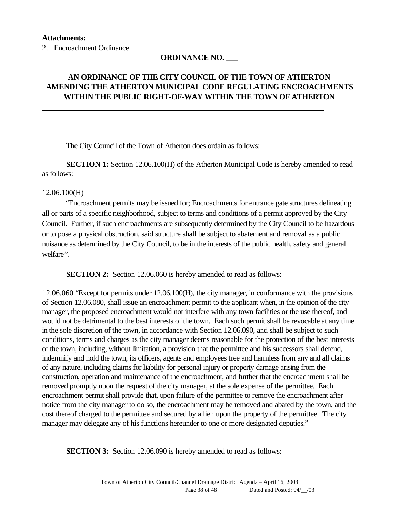2. Encroachment Ordinance

### **ORDINANCE NO. \_\_\_**

## **AN ORDINANCE OF THE CITY COUNCIL OF THE TOWN OF ATHERTON AMENDING THE ATHERTON MUNICIPAL CODE REGULATING ENCROACHMENTS WITHIN THE PUBLIC RIGHT-OF-WAY WITHIN THE TOWN OF ATHERTON**

The City Council of the Town of Atherton does ordain as follows:

**SECTION 1:** Section 12.06.100(H) of the Atherton Municipal Code is hereby amended to read as follows:

#### 12.06.100(H)

"Encroachment permits may be issued for; Encroachments for entrance gate structures delineating all or parts of a specific neighborhood, subject to terms and conditions of a permit approved by the City Council. Further, if such encroachments are subsequently determined by the City Council to be hazardous or to pose a physical obstruction, said structure shall be subject to abatement and removal as a public nuisance as determined by the City Council, to be in the interests of the public health, safety and general welfare*".*

**SECTION 2:** Section 12.06.060 is hereby amended to read as follows:

12.06.060 "Except for permits under 12.06.100(H), the city manager, in conformance with the provisions of Section 12.06.080, shall issue an encroachment permit to the applicant when, in the opinion of the city manager, the proposed encroachment would not interfere with any town facilities or the use thereof, and would not be detrimental to the best interests of the town. Each such permit shall be revocable at any time in the sole discretion of the town, in accordance with Section 12.06.090, and shall be subject to such conditions, terms and charges as the city manager deems reasonable for the protection of the best interests of the town, including, without limitation, a provision that the permittee and his successors shall defend, indemnify and hold the town, its officers, agents and employees free and harmless from any and all claims of any nature, including claims for liability for personal injury or property damage arising from the construction, operation and maintenance of the encroachment, and further that the encroachment shall be removed promptly upon the request of the city manager, at the sole expense of the permittee. Each encroachment permit shall provide that, upon failure of the permittee to remove the encroachment after notice from the city manager to do so, the encroachment may be removed and abated by the town, and the cost thereof charged to the permittee and secured by a lien upon the property of the permittee. The city manager may delegate any of his functions hereunder to one or more designated deputies."

**SECTION 3:** Section 12.06.090 is hereby amended to read as follows: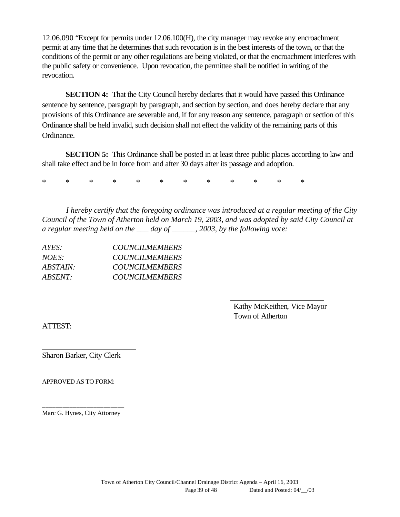12.06.090 "Except for permits under 12.06.100(H), the city manager may revoke any encroachment permit at any time that he determines that such revocation is in the best interests of the town, or that the conditions of the permit or any other regulations are being violated, or that the encroachment interferes with the public safety or convenience. Upon revocation, the permittee shall be notified in writing of the revocation.

**SECTION 4:** That the City Council hereby declares that it would have passed this Ordinance sentence by sentence, paragraph by paragraph, and section by section, and does hereby declare that any provisions of this Ordinance are severable and, if for any reason any sentence, paragraph or section of this Ordinance shall be held invalid, such decision shall not effect the validity of the remaining parts of this Ordinance.

**SECTION 5:** This Ordinance shall be posted in at least three public places according to law and shall take effect and be in force from and after 30 days after its passage and adoption.

\* \* \* \* \* \* \* \* \* \* \* \*

*I hereby certify that the foregoing ordinance was introduced at a regular meeting of the City Council of the Town of Atherton held on March 19, 2003, and was adopted by said City Council at a regular meeting held on the \_\_\_ day of \_\_\_\_\_\_, 2003, by the following vote:*

| AYES:    | <b>COUNCILMEMBERS</b> |
|----------|-----------------------|
| $NOES^+$ | <b>COUNCILMEMBERS</b> |
| ABSTAIN: | <b>COUNCILMEMBERS</b> |
| ABSENT:  | <b>COUNCILMEMBERS</b> |

Kathy McKeithen, Vice Mayor Town of Atherton

ATTEST:

Sharon Barker, City Clerk

APPROVED AS TO FORM:

\_\_\_\_\_\_\_\_\_\_\_\_\_\_\_\_\_\_\_\_\_\_\_\_ Marc G. Hynes, City Attorney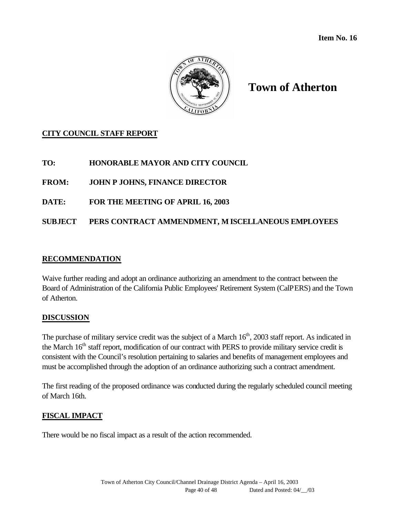

## **Town of Atherton**

## **CITY COUNCIL STAFF REPORT**

## **TO: HONORABLE MAYOR AND CITY COUNCIL**

**FROM: JOHN P JOHNS, FINANCE DIRECTOR**

**DATE: FOR THE MEETING OF APRIL 16, 2003**

## **SUBJECT PERS CONTRACT AMMENDMENT, M ISCELLANEOUS EMPLOYEES**

#### **RECOMMENDATION**

Waive further reading and adopt an ordinance authorizing an amendment to the contract between the Board of Administration of the California Public Employees' Retirement System (CalPERS) and the Town of Atherton.

### **DISCUSSION**

The purchase of military service credit was the subject of a March 16<sup>th</sup>, 2003 staff report. As indicated in the March 16<sup>th</sup> staff report, modification of our contract with PERS to provide military service credit is consistent with the Council's resolution pertaining to salaries and benefits of management employees and must be accomplished through the adoption of an ordinance authorizing such a contract amendment.

The first reading of the proposed ordinance was conducted during the regularly scheduled council meeting of March 16th.

### **FISCAL IMPACT**

There would be no fiscal impact as a result of the action recommended.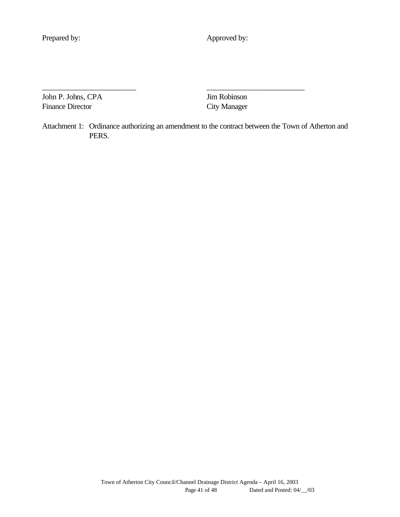Prepared by: Approved by:

John P. Johns, CPA Jim Robinson Finance Director City Manager

Attachment 1: Ordinance authorizing an amendment to the contract between the Town of Atherton and PERS.

\_\_\_\_\_\_\_\_\_\_\_\_\_\_\_\_\_\_\_\_\_\_\_\_ \_\_\_\_\_\_\_\_\_\_\_\_\_\_\_\_\_\_\_\_\_\_\_\_\_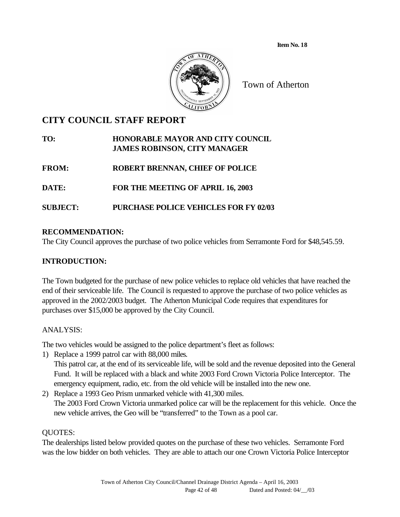**Item No. 18** 



Town of Atherton

## **CITY COUNCIL STAFF REPORT**

## **TO: HONORABLE MAYOR AND CITY COUNCIL JAMES ROBINSON, CITY MANAGER**

**FROM: ROBERT BRENNAN, CHIEF OF POLICE**

**DATE: FOR THE MEETING OF APRIL 16, 2003**

## **SUBJECT: PURCHASE POLICE VEHICLES FOR FY 02/03**

## **RECOMMENDATION:**

The City Council approves the purchase of two police vehicles from Serramonte Ford for \$48,545.59.

### **INTRODUCTION:**

The Town budgeted for the purchase of new police vehicles to replace old vehicles that have reached the end of their serviceable life. The Council is requested to approve the purchase of two police vehicles as approved in the 2002/2003 budget. The Atherton Municipal Code requires that expenditures for purchases over \$15,000 be approved by the City Council.

### ANALYSIS:

The two vehicles would be assigned to the police department's fleet as follows:

1) Replace a 1999 patrol car with 88,000 miles.

This patrol car, at the end of its serviceable life, will be sold and the revenue deposited into the General Fund. It will be replaced with a black and white 2003 Ford Crown Victoria Police Interceptor. The emergency equipment, radio, etc. from the old vehicle will be installed into the new one.

2) Replace a 1993 Geo Prism unmarked vehicle with 41,300 miles. The 2003 Ford Crown Victoria unmarked police car will be the replacement for this vehicle. Once the new vehicle arrives, the Geo will be "transferred" to the Town as a pool car.

### QUOTES:

The dealerships listed below provided quotes on the purchase of these two vehicles. Serramonte Ford was the low bidder on both vehicles. They are able to attach our one Crown Victoria Police Interceptor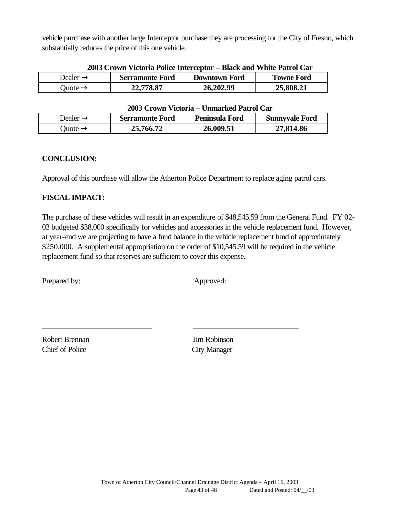vehicle purchase with another large Interceptor purchase they are processing for the City of Fresno, which substantially reduces the price of this one vehicle.

| Dealer $\rightarrow$ | <b>Serramonte Ford</b> | <b>Downtown Ford</b> | <b>Towne Ford</b> |
|----------------------|------------------------|----------------------|-------------------|
| Quote $\rightarrow$  | 22,778.87              | 26,202.99            | 25,808.21         |

#### **2003 Crown Victoria Police Interceptor – Black and White Patrol Car**

#### **2003 Crown Victoria – Unmarked Patrol Car**

| Dealer $\rightarrow$ | <b>Serramonte Ford</b> | Peninsula Ford | <b>Sunnyvale Ford</b> |
|----------------------|------------------------|----------------|-----------------------|
| Juote $\rightarrow$  | 25,766.72              | 26,009.51      | 27,814.86             |

#### **CONCLUSION:**

Approval of this purchase will allow the Atherton Police Department to replace aging patrol cars.

\_\_\_\_\_\_\_\_\_\_\_\_\_\_\_\_\_\_\_\_\_\_\_\_\_\_\_\_ \_\_\_\_\_\_\_\_\_\_\_\_\_\_\_\_\_\_\_\_\_\_\_\_\_\_\_

### **FISCAL IMPACT:**

The purchase of these vehicles will result in an expenditure of \$48,545.59 from the General Fund. FY 02- 03 budgeted \$38,000 specifically for vehicles and accessories in the vehicle replacement fund. However, at year-end we are projecting to have a fund balance in the vehicle replacement fund of approximately \$250,000. A supplemental appropriation on the order of \$10,545.59 will be required in the vehicle replacement fund so that reserves are sufficient to cover this expense.

Prepared by: Approved:

Robert Brennan Jim Robinson Chief of Police City Manager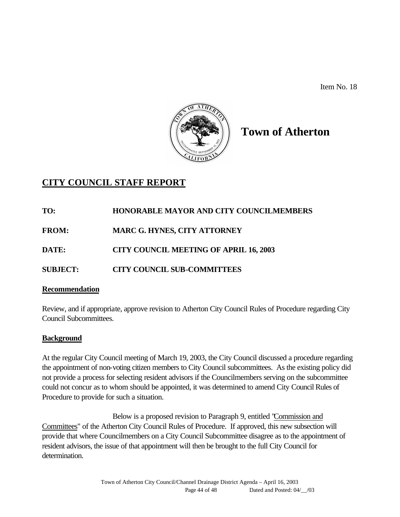Item No. 18



# **Town of Atherton**

## **CITY COUNCIL STAFF REPORT**

**TO: HONORABLE MAYOR AND CITY COUNCILMEMBERS FROM: MARC G. HYNES, CITY ATTORNEY**

**DATE: CITY COUNCIL MEETING OF APRIL 16, 2003**

**SUBJECT: CITY COUNCIL SUB-COMMITTEES**

### **Recommendation**

Review, and if appropriate, approve revision to Atherton City Council Rules of Procedure regarding City Council Subcommittees.

## **Background**

At the regular City Council meeting of March 19, 2003, the City Council discussed a procedure regarding the appointment of non-voting citizen members to City Council subcommittees. As the existing policy did not provide a process for selecting resident advisors if the Councilmembers serving on the subcommittee could not concur as to whom should be appointed, it was determined to amend City Council Rules of Procedure to provide for such a situation.

Below is a proposed revision to Paragraph 9, entitled "Commission and Committees" of the Atherton City Council Rules of Procedure. If approved, this new subsection will provide that where Councilmembers on a City Council Subcommittee disagree as to the appointment of resident advisors, the issue of that appointment will then be brought to the full City Council for determination.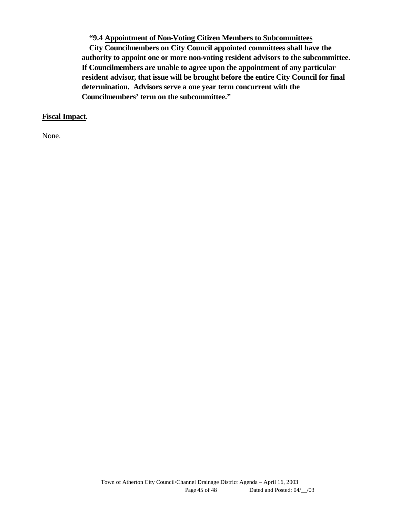**"9.4 Appointment of Non-Voting Citizen Members to Subcommittees** 

**City Councilmembers on City Council appointed committees shall have the authority to appoint one or more non-voting resident advisors to the subcommittee. If Councilmembers are unable to agree upon the appointment of any particular resident advisor, that issue will be brought before the entire City Council for final determination. Advisors serve a one year term concurrent with the Councilmembers' term on the subcommittee."**

#### **Fiscal Impact.**

None.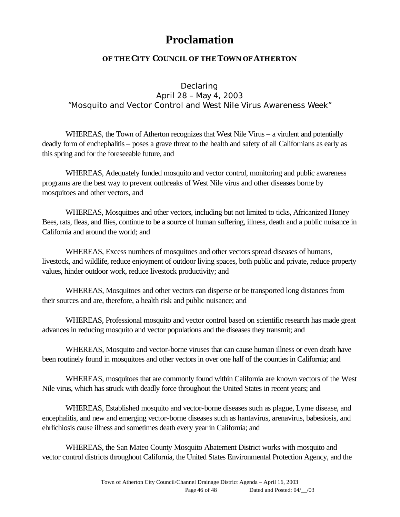# **Proclamation**

### **OF THE CITY COUNCIL OF THE TOWN OF ATHERTON**

Declaring April 28 – May 4, 2003 "Mosquito and Vector Control and West Nile Virus Awareness Week"

WHEREAS, the Town of Atherton recognizes that West Nile Virus – a virulent and potentially deadly form of enchephalitis – poses a grave threat to the health and safety of all Californians as early as this spring and for the foreseeable future, and

WHEREAS, Adequately funded mosquito and vector control, monitoring and public awareness programs are the best way to prevent outbreaks of West Nile virus and other diseases borne by mosquitoes and other vectors, and

WHEREAS, Mosquitoes and other vectors, including but not limited to ticks, Africanized Honey Bees, rats, fleas, and flies, continue to be a source of human suffering, illness, death and a public nuisance in California and around the world; and

WHEREAS, Excess numbers of mosquitoes and other vectors spread diseases of humans, livestock, and wildlife, reduce enjoyment of outdoor living spaces, both public and private, reduce property values, hinder outdoor work, reduce livestock productivity; and

WHEREAS, Mosquitoes and other vectors can disperse or be transported long distances from their sources and are, therefore, a health risk and public nuisance; and

WHEREAS, Professional mosquito and vector control based on scientific research has made great advances in reducing mosquito and vector populations and the diseases they transmit; and

WHEREAS, Mosquito and vector-borne viruses that can cause human illness or even death have been routinely found in mosquitoes and other vectors in over one half of the counties in California; and

WHEREAS, mosquitoes that are commonly found within California are known vectors of the West Nile virus, which has struck with deadly force throughout the United States in recent years; and

WHEREAS, Established mosquito and vector-borne diseases such as plague, Lyme disease, and encephalitis, and new and emerging vector-borne diseases such as hantavirus, arenavirus, babesiosis, and ehrlichiosis cause illness and sometimes death every year in California; and

WHEREAS, the San Mateo County Mosquito Abatement District works with mosquito and vector control districts throughout California, the United States Environmental Protection Agency, and the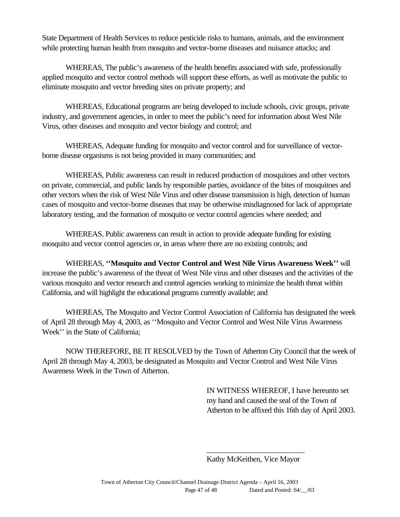State Department of Health Services to reduce pesticide risks to humans, animals, and the environment while protecting human health from mosquito and vector-borne diseases and nuisance attacks; and

WHEREAS, The public's awareness of the health benefits associated with safe, professionally applied mosquito and vector control methods will support these efforts, as well as motivate the public to eliminate mosquito and vector breeding sites on private property; and

WHEREAS, Educational programs are being developed to include schools, civic groups, private industry, and government agencies, in order to meet the public's need for information about West Nile Virus, other diseases and mosquito and vector biology and control; and

WHEREAS, Adequate funding for mosquito and vector control and for surveillance of vectorborne disease organisms is not being provided in many communities; and

WHEREAS, Public awareness can result in reduced production of mosquitoes and other vectors on private, commercial, and public lands by responsible parties, avoidance of the bites of mosquitoes and other vectors when the risk of West Nile Virus and other disease transmission is high, detection of human cases of mosquito and vector-borne diseases that may be otherwise misdiagnosed for lack of appropriate laboratory testing, and the formation of mosquito or vector control agencies where needed; and

WHEREAS, Public awareness can result in action to provide adequate funding for existing mosquito and vector control agencies or, in areas where there are no existing controls; and

WHEREAS, **''Mosquito and Vector Control and West Nile Virus Awareness Week''** will increase the public's awareness of the threat of West Nile virus and other diseases and the activities of the various mosquito and vector research and control agencies working to minimize the health threat within California, and will highlight the educational programs currently available; and

WHEREAS, The Mosquito and Vector Control Association of California has designated the week of April 28 through May 4, 2003, as ''Mosquito and Vector Control and West Nile Virus Awareness Week'' in the State of California;

NOW THEREFORE, BE IT RESOLVED by the Town of Atherton City Council that the week of April 28 through May 4, 2003, be designated as Mosquito and Vector Control and West Nile Virus Awareness Week in the Town of Atherton.

> IN WITNESS WHEREOF, I have hereunto set my hand and caused the seal of the Town of Atherton to be affixed this 16th day of April 2003.

\_\_\_\_\_\_\_\_\_\_\_\_\_\_\_\_\_\_\_\_\_\_\_\_\_ Kathy McKeithen, Vice Mayor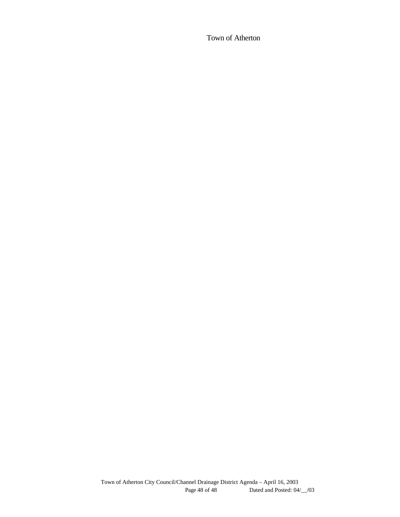Town of Atherton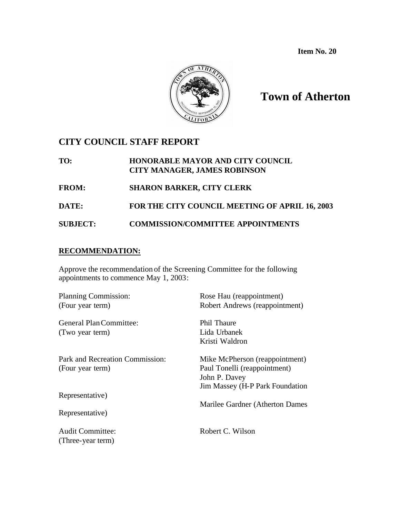**Item No. 20**



# **Town of Atherton**

## **CITY COUNCIL STAFF REPORT**

**TO: HONORABLE MAYOR AND CITY COUNCIL CITY MANAGER, JAMES ROBINSON FROM: SHARON BARKER, CITY CLERK DATE: FOR THE CITY COUNCIL MEETING OF APRIL 16, 2003 SUBJECT: COMMISSION/COMMITTEE APPOINTMENTS**

#### **RECOMMENDATION:**

Approve the recommendation of the Screening Committee for the following appointments to commence May 1, 2003:

| Planning Commission:            | Rose Hau (reappointment)        |
|---------------------------------|---------------------------------|
| (Four year term)                | Robert Andrews (reappointment)  |
| General Plan Committee:         | <b>Phil Thaure</b>              |
| (Two year term)                 | Lida Urbanek                    |
|                                 | Kristi Waldron                  |
| Park and Recreation Commission: | Mike McPherson (reappointment)  |
| (Four year term)                | Paul Tonelli (reappointment)    |
|                                 | John P. Davey                   |
|                                 | Jim Massey (H-P Park Foundation |
| Representative)                 |                                 |
|                                 | Marilee Gardner (Atherton Dames |
| Representative)                 |                                 |
| <b>Audit Committee:</b>         | Robert C. Wilson                |
| (Three-year term)               |                                 |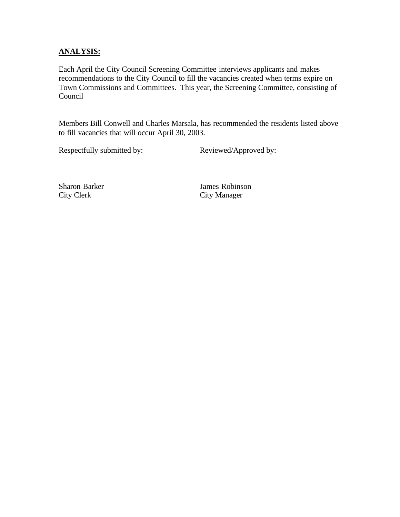### **ANALYSIS:**

Each April the City Council Screening Committee interviews applicants and makes recommendations to the City Council to fill the vacancies created when terms expire on Town Commissions and Committees. This year, the Screening Committee, consisting of Council

Members Bill Conwell and Charles Marsala, has recommended the residents listed above to fill vacancies that will occur April 30, 2003.

Respectfully submitted by: Reviewed/Approved by:

City Clerk City Manager

Sharon Barker James Robinson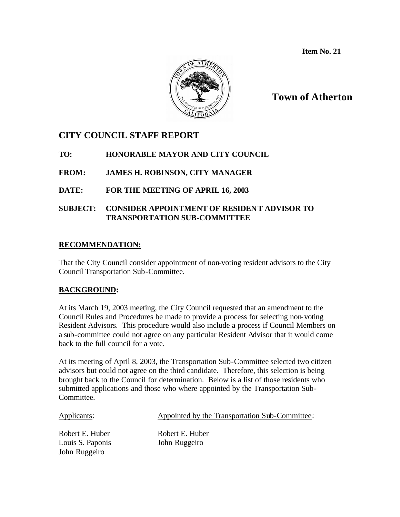**Item No. 21**



## **Town of Atherton**

## **CITY COUNCIL STAFF REPORT**

**TO: HONORABLE MAYOR AND CITY COUNCIL**

**FROM: JAMES H. ROBINSON, CITY MANAGER**

**DATE: FOR THE MEETING OF APRIL 16, 2003**

### **SUBJECT: CONSIDER APPOINTMENT OF RESIDENT ADVISOR TO TRANSPORTATION SUB-COMMITTEE**

### **RECOMMENDATION:**

That the City Council consider appointment of non-voting resident advisors to the City Council Transportation Sub-Committee.

### **BACKGROUND:**

At its March 19, 2003 meeting, the City Council requested that an amendment to the Council Rules and Procedures be made to provide a process for selecting non-voting Resident Advisors. This procedure would also include a process if Council Members on a sub-committee could not agree on any particular Resident Advisor that it would come back to the full council for a vote.

At its meeting of April 8, 2003, the Transportation Sub-Committee selected two citizen advisors but could not agree on the third candidate. Therefore, this selection is being brought back to the Council for determination. Below is a list of those residents who submitted applications and those who where appointed by the Transportation Sub-Committee.

| Applicants:                                          | Appointed by the Transportation Sub-Committee: |
|------------------------------------------------------|------------------------------------------------|
| Robert E. Huber<br>Louis S. Paponis<br>John Ruggeiro | Robert E. Huber<br>John Ruggeiro               |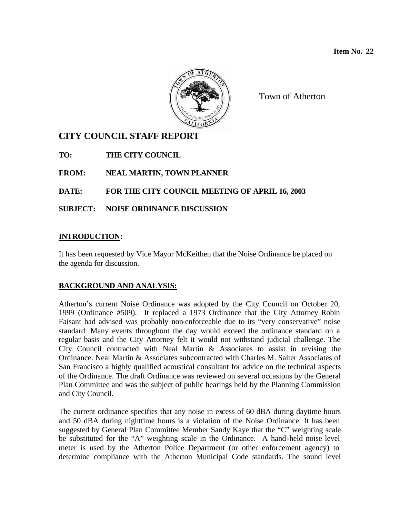

Town of Atherton

## **CITY COUNCIL STAFF REPORT**

**TO: THE CITY COUNCIL**

**FROM: NEAL MARTIN, TOWN PLANNER**

## **DATE: FOR THE CITY COUNCIL MEETING OF APRIL 16, 2003**

**SUBJECT: NOISE ORDINANCE DISCUSSION**

### **INTRODUCTION:**

It has been requested by Vice Mayor McKeithen that the Noise Ordinance be placed on the agenda for discussion.

## **BACKGROUND AND ANALYSIS:**

Atherton's current Noise Ordinance was adopted by the City Council on October 20, 1999 (Ordinance #509). It replaced a 1973 Ordinance that the City Attorney Robin Faisant had advised was probably non-enforceable due to its "very conservative" noise standard. Many events throughout the day would exceed the ordinance standard on a regular basis and the City Attorney felt it would not withstand judicial challenge. The City Council contracted with Neal Martin & Associates to assist in revising the Ordinance. Neal Martin & Associates subcontracted with Charles M. Salter Associates of San Francisco a highly qualified acoustical consultant for advice on the technical aspects of the Ordinance. The draft Ordinance was reviewed on several occasions by the General Plan Committee and was the subject of public hearings held by the Planning Commission and City Council.

The current ordinance specifies that any noise in excess of 60 dBA during daytime hours and 50 dBA during nighttime hours is a violation of the Noise Ordinance. It has been suggested by General Plan Committee Member Sandy Kaye that the "C" weighting scale be substituted for the "A" weighting scale in the Ordinance. A hand-held noise level meter is used by the Atherton Police Department (or other enforcement agency) to determine compliance with the Atherton Municipal Code standards. The sound level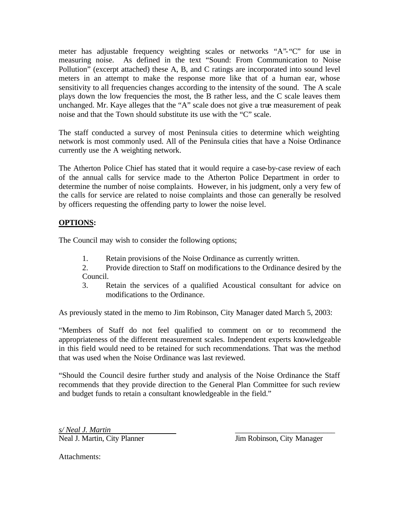meter has adjustable frequency weighting scales or networks "A"-"C" for use in measuring noise. As defined in the text "Sound: From Communication to Noise Pollution" (excerpt attached) these A, B, and C ratings are incorporated into sound level meters in an attempt to make the response more like that of a human ear, whose sensitivity to all frequencies changes according to the intensity of the sound. The A scale plays down the low frequencies the most, the B rather less, and the C scale leaves them unchanged. Mr. Kaye alleges that the "A" scale does not give a true measurement of peak noise and that the Town should substitute its use with the "C" scale.

The staff conducted a survey of most Peninsula cities to determine which weighting network is most commonly used. All of the Peninsula cities that have a Noise Ordinance currently use the A weighting network.

The Atherton Police Chief has stated that it would require a case-by-case review of each of the annual calls for service made to the Atherton Police Department in order to determine the number of noise complaints. However, in his judgment, only a very few of the calls for service are related to noise complaints and those can generally be resolved by officers requesting the offending party to lower the noise level.

### **OPTIONS:**

The Council may wish to consider the following options;

1. Retain provisions of the Noise Ordinance as currently written.

2. Provide direction to Staff on modifications to the Ordinance desired by the Council.

3. Retain the services of a qualified Acoustical consultant for advice on modifications to the Ordinance.

As previously stated in the memo to Jim Robinson, City Manager dated March 5, 2003:

"Members of Staff do not feel qualified to comment on or to recommend the appropriateness of the different measurement scales. Independent experts knowledgeable in this field would need to be retained for such recommendations. That was the method that was used when the Noise Ordinance was last reviewed.

"Should the Council desire further study and analysis of the Noise Ordinance the Staff recommends that they provide direction to the General Plan Committee for such review and budget funds to retain a consultant knowledgeable in the field."

*s/ Neal J. Martin* \_\_\_\_\_\_\_\_\_\_\_\_\_\_\_\_\_\_\_\_\_\_\_\_\_\_ Neal J. Martin, City Planner Jim Robinson, City Manager

Attachments: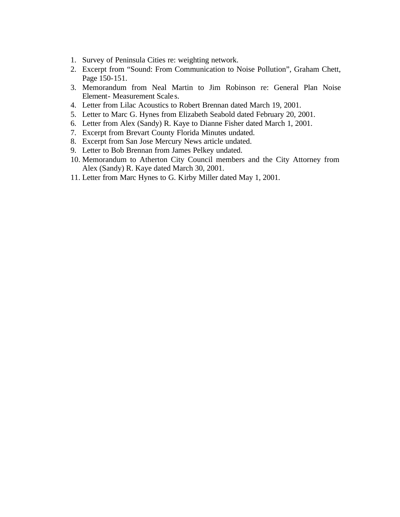- 1. Survey of Peninsula Cities re: weighting network.
- 2. Excerpt from "Sound: From Communication to Noise Pollution", Graham Chett, Page 150-151.
- 3. Memorandum from Neal Martin to Jim Robinson re: General Plan Noise Element- Measurement Scale s.
- 4. Letter from Lilac Acoustics to Robert Brennan dated March 19, 2001.
- 5. Letter to Marc G. Hynes from Elizabeth Seabold dated February 20, 2001.
- 6. Letter from Alex (Sandy) R. Kaye to Dianne Fisher dated March 1, 2001.
- 7. Excerpt from Brevart County Florida Minutes undated.
- 8. Excerpt from San Jose Mercury News article undated.
- 9. Letter to Bob Brennan from James Pelkey undated.
- 10. Memorandum to Atherton City Council members and the City Attorney from Alex (Sandy) R. Kaye dated March 30, 2001.
- 11. Letter from Marc Hynes to G. Kirby Miller dated May 1, 2001.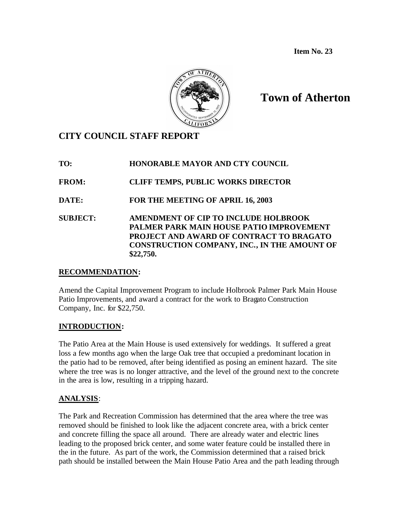**Item No. 23**



# **Town of Atherton**

## **CITY COUNCIL STAFF REPORT**

| TO:             | <b>HONORABLE MAYOR AND CTY COUNCIL</b>                                                                                                                                                           |
|-----------------|--------------------------------------------------------------------------------------------------------------------------------------------------------------------------------------------------|
| <b>FROM:</b>    | <b>CLIFF TEMPS, PUBLIC WORKS DIRECTOR</b>                                                                                                                                                        |
| DATE:           | FOR THE MEETING OF APRIL 16, 2003                                                                                                                                                                |
| <b>SUBJECT:</b> | AMENDMENT OF CIP TO INCLUDE HOLBROOK<br>PALMER PARK MAIN HOUSE PATIO IMPROVEMENT<br>PROJECT AND AWARD OF CONTRACT TO BRAGATO<br><b>CONSTRUCTION COMPANY, INC., IN THE AMOUNT OF</b><br>\$22,750. |

### **RECOMMENDATION:**

Amend the Capital Improvement Program to include Holbrook Palmer Park Main House Patio Improvements, and award a contract for the work to Bragato Construction Company, Inc. for \$22,750.

### **INTRODUCTION:**

The Patio Area at the Main House is used extensively for weddings. It suffered a great loss a few months ago when the large Oak tree that occupied a predominant location in the patio had to be removed, after being identified as posing an eminent hazard. The site where the tree was is no longer attractive, and the level of the ground next to the concrete in the area is low, resulting in a tripping hazard.

### **ANALYSIS**:

The Park and Recreation Commission has determined that the area where the tree was removed should be finished to look like the adjacent concrete area, with a brick center and concrete filling the space all around. There are already water and electric lines leading to the proposed brick center, and some water feature could be installed there in the in the future. As part of the work, the Commission determined that a raised brick path should be installed between the Main House Patio Area and the path leading through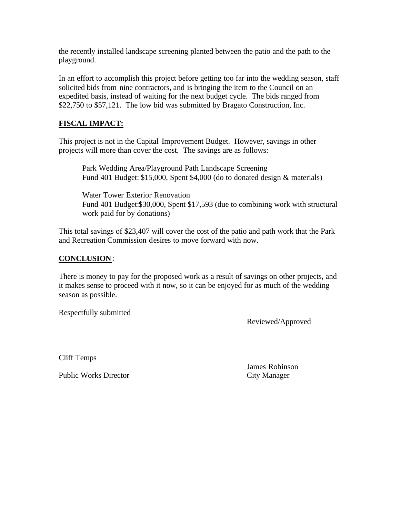the recently installed landscape screening planted between the patio and the path to the playground.

In an effort to accomplish this project before getting too far into the wedding season, staff solicited bids from nine contractors, and is bringing the item to the Council on an expedited basis, instead of waiting for the next budget cycle. The bids ranged from \$22,750 to \$57,121. The low bid was submitted by Bragato Construction, Inc.

### **FISCAL IMPACT:**

This project is not in the Capital Improvement Budget. However, savings in other projects will more than cover the cost. The savings are as follows:

Park Wedding Area/Playground Path Landscape Screening Fund 401 Budget: \$15,000, Spent \$4,000 (do to donated design & materials)

Water Tower Exterior Renovation Fund 401 Budget:\$30,000, Spent \$17,593 (due to combining work with structural work paid for by donations)

This total savings of \$23,407 will cover the cost of the patio and path work that the Park and Recreation Commission desires to move forward with now.

#### **CONCLUSION**:

There is money to pay for the proposed work as a result of savings on other projects, and it makes sense to proceed with it now, so it can be enjoyed for as much of the wedding season as possible.

Respectfully submitted

Reviewed/Approved

Cliff Temps

Public Works Director City Manager

James Robinson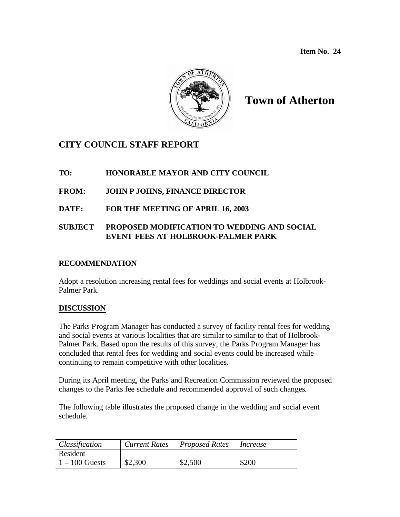**Item No. 24** 



# **Town of Atherton**

## **CITY COUNCIL STAFF REPORT**

## **TO: HONORABLE MAYOR AND CITY COUNCIL**

- **FROM: JOHN P JOHNS, FINANCE DIRECTOR**
- **DATE: FOR THE MEETING OF APRIL 16, 2003**

## **SUBJECT PROPOSED MODIFICATION TO WEDDING AND SOCIAL EVENT FEES AT HOLBROOK-PALMER PARK**

#### **RECOMMENDATION**

Adopt a resolution increasing rental fees for weddings and social events at Holbrook-Palmer Park.

### **DISCUSSION**

The Parks Program Manager has conducted a survey of facility rental fees for wedding and social events at various localities that are similar to similar to that of Holbrook-Palmer Park. Based upon the results of this survey, the Parks Program Manager has concluded that rental fees for wedding and social events could be increased while continuing to remain competitive with other localities.

During its April meeting, the Parks and Recreation Commission reviewed the proposed changes to the Parks fee schedule and recommended approval of such changes.

The following table illustrates the proposed change in the wedding and social event schedule.

| Classification   | Current Rates | Proposed Rates | Increase |
|------------------|---------------|----------------|----------|
| Resident         |               |                |          |
| $1 - 100$ Guests | \$2,300       | \$2,500        | \$200    |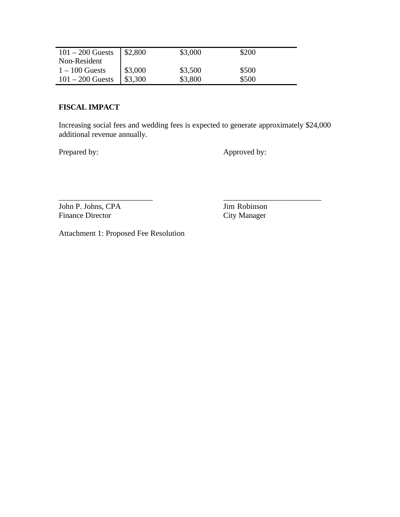| $101 - 200$ Guests | \$2,800 | \$3,000 | \$200 |
|--------------------|---------|---------|-------|
| Non-Resident       |         |         |       |
| $1 - 100$ Guests   | \$3,000 | \$3,500 | \$500 |
| $101 - 200$ Guests | \$3,300 | \$3,800 | \$500 |

#### **FISCAL IMPACT**

Increasing social fees and wedding fees is expected to generate approximately \$24,000 additional revenue annually.

\_\_\_\_\_\_\_\_\_\_\_\_\_\_\_\_\_\_\_\_\_\_\_\_ \_\_\_\_\_\_\_\_\_\_\_\_\_\_\_\_\_\_\_\_\_\_\_\_\_

Prepared by: Approved by:

John P. Johns, CPA Jim Robinson<br>Finance Director City Manager Finance Director

Attachment 1: Proposed Fee Resolution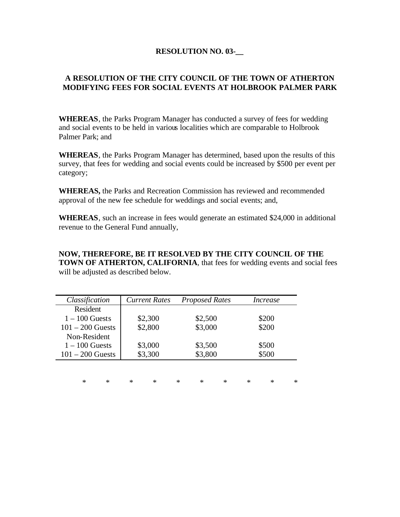#### **RESOLUTION NO. 03-\_\_**

### **A RESOLUTION OF THE CITY COUNCIL OF THE TOWN OF ATHERTON MODIFYING FEES FOR SOCIAL EVENTS AT HOLBROOK PALMER PARK**

**WHEREAS**, the Parks Program Manager has conducted a survey of fees for wedding and social events to be held in various localities which are comparable to Holbrook Palmer Park; and

**WHEREAS**, the Parks Program Manager has determined, based upon the results of this survey, that fees for wedding and social events could be increased by \$500 per event per category;

**WHEREAS,** the Parks and Recreation Commission has reviewed and recommended approval of the new fee schedule for weddings and social events; and,

**WHEREAS**, such an increase in fees would generate an estimated \$24,000 in additional revenue to the General Fund annually,

**NOW, THEREFORE, BE IT RESOLVED BY THE CITY COUNCIL OF THE TOWN OF ATHERTON, CALIFORNIA**, that fees for wedding events and social fees will be adjusted as described below.

| Classification     | <b>Current Rates</b> | <b>Proposed Rates</b> | Increase              |
|--------------------|----------------------|-----------------------|-----------------------|
| Resident           |                      |                       |                       |
| $1 - 100$ Guests   | \$2,300              | \$2,500               | \$200                 |
| $101 - 200$ Guests | \$2,800              | \$3,000               | \$200                 |
| Non-Resident       |                      |                       |                       |
| $1 - 100$ Guests   | \$3,000              | \$3,500               | \$500                 |
| $101 - 200$ Guests | \$3,300              | \$3,800               | \$500                 |
|                    |                      |                       |                       |
|                    |                      |                       |                       |
| $\ast$<br>$\ast$   | $\ast$<br>$\ast$     | $\ast$<br>$\ast$<br>∗ | $\ast$<br>$\ast$<br>* |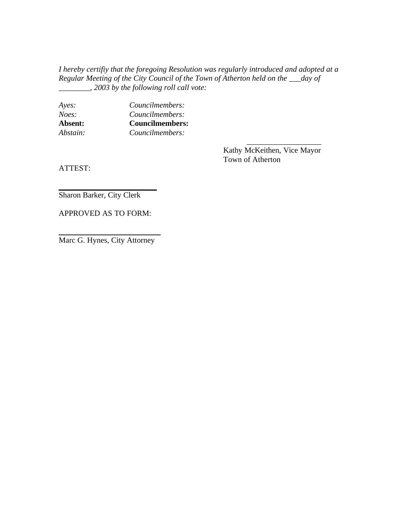*I hereby certifiy that the foregoing Resolution was regularly introduced and adopted at a Regular Meeting of the City Council of the Town of Atherton held on the \_\_\_day of \_\_\_\_\_\_\_\_, 2003 by the following roll call vote:*

| Ayes:    | Councilmembers:        |  |
|----------|------------------------|--|
| Noes:    | Councilmembers:        |  |
| Absent:  | <b>Councilmembers:</b> |  |
| Abstain: | Councilmembers:        |  |

Kathy McKeithen, Vice Mayor Town of Atherton

\_\_\_\_\_\_\_\_\_\_\_\_\_\_\_\_\_\_\_

ATTEST:

Sharon Barker, City Clerk

APPROVED AS TO FORM:

\_\_\_\_\_\_\_\_\_\_\_\_\_\_\_\_\_\_\_\_\_\_\_\_\_

\_\_\_\_\_\_\_\_\_\_\_\_\_\_\_\_\_\_\_\_\_\_\_\_\_\_ Marc G. Hynes, City Attorney